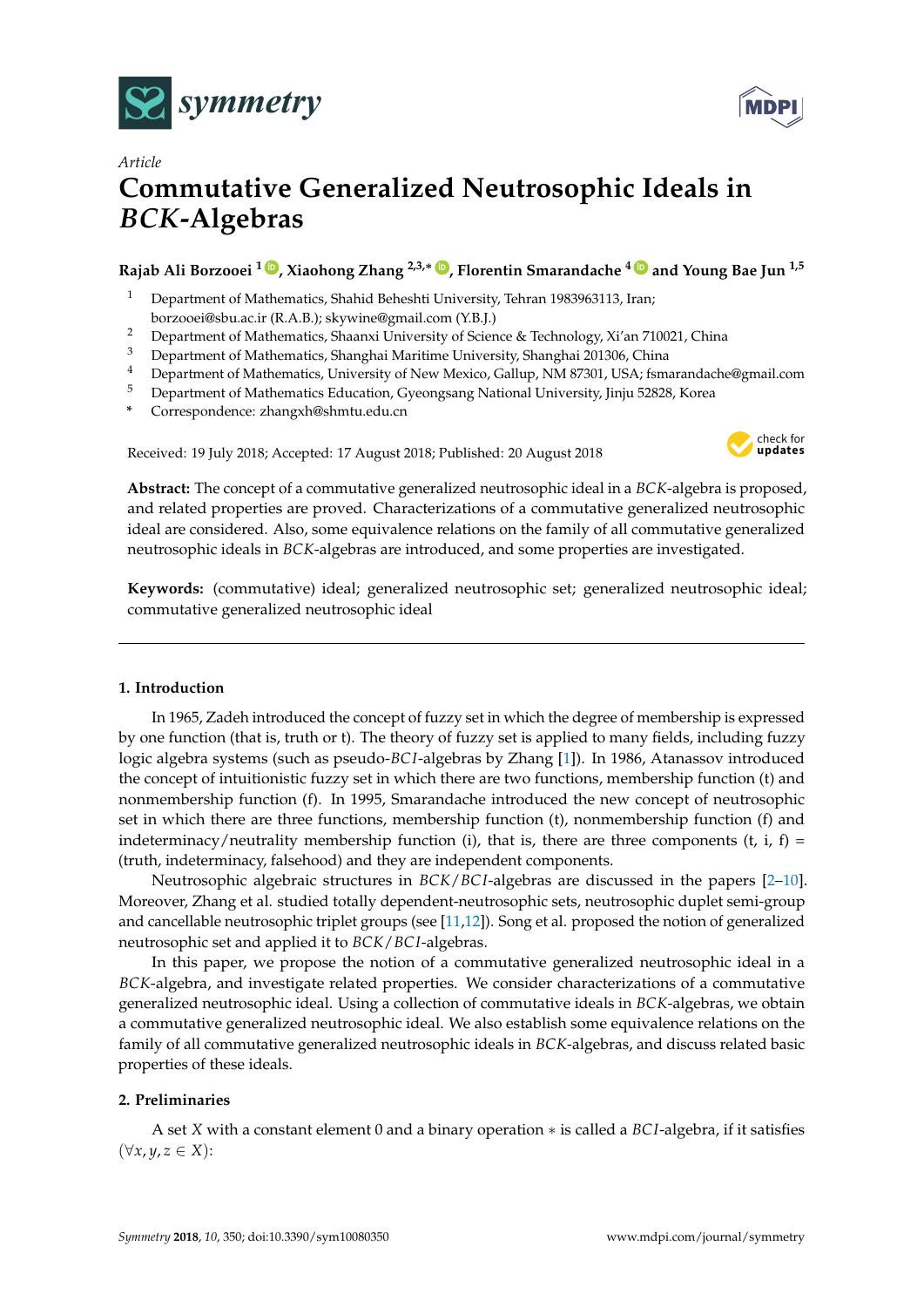



# *Article* **Commutative Generalized Neutrosophic Ideals in** *BCK***-Algebras**

## **Rajab Ali Borzooei <sup>1</sup> [ID](https://orcid.org/0000-0001-7538-7885) , Xiaohong Zhang 2,3,**<sup>∗</sup> **[ID](https://orcid.org/0000-0003-2320-0884) , Florentin Smarandache <sup>4</sup> [ID](https://orcid.org/0000-0002-5560-5926) and Young Bae Jun 1,5**

- <sup>1</sup> Department of Mathematics, Shahid Beheshti University, Tehran 1983963113, Iran; borzooei@sbu.ac.ir (R.A.B.); skywine@gmail.com (Y.B.J.)
- 
- <sup>2</sup> Department of Mathematics, Shaanxi University of Science & Technology, Xi'an 710021, China
- <sup>3</sup> Department of Mathematics, Shanghai Maritime University, Shanghai 201306, China
- <sup>4</sup> Department of Mathematics, University of New Mexico, Gallup, NM 87301, USA; fsmarandache@gmail.com
- <sup>5</sup> Department of Mathematics Education, Gyeongsang National University, Jinju 52828, Korea
- **\*** Correspondence: zhangxh@shmtu.edu.cn

Received: 19 July 2018; Accepted: 17 August 2018; Published: 20 August 2018



**Abstract:** The concept of a commutative generalized neutrosophic ideal in a *BCK*-algebra is proposed, and related properties are proved. Characterizations of a commutative generalized neutrosophic ideal are considered. Also, some equivalence relations on the family of all commutative generalized neutrosophic ideals in *BCK*-algebras are introduced, and some properties are investigated.

**Keywords:** (commutative) ideal; generalized neutrosophic set; generalized neutrosophic ideal; commutative generalized neutrosophic ideal

## **1. Introduction**

In 1965, Zadeh introduced the concept of fuzzy set in which the degree of membership is expressed by one function (that is, truth or t). The theory of fuzzy set is applied to many fields, including fuzzy logic algebra systems (such as pseudo-*BC I*-algebras by Zhang [\[1\]](#page-13-0)). In 1986, Atanassov introduced the concept of intuitionistic fuzzy set in which there are two functions, membership function (t) and nonmembership function (f). In 1995, Smarandache introduced the new concept of neutrosophic set in which there are three functions, membership function (t), nonmembership function (f) and indeterminacy/neutrality membership function (i), that is, there are three components (t, i, f) = (truth, indeterminacy, falsehood) and they are independent components.

Neutrosophic algebraic structures in *BCK*/*BC I*-algebras are discussed in the papers [\[2–](#page-13-1)[10\]](#page-13-2). Moreover, Zhang et al. studied totally dependent-neutrosophic sets, neutrosophic duplet semi-group and cancellable neutrosophic triplet groups (see [\[11,](#page-13-3)[12\]](#page-13-4)). Song et al. proposed the notion of generalized neutrosophic set and applied it to *BCK*/*BC I*-algebras.

In this paper, we propose the notion of a commutative generalized neutrosophic ideal in a *BCK*-algebra, and investigate related properties. We consider characterizations of a commutative generalized neutrosophic ideal. Using a collection of commutative ideals in *BCK*-algebras, we obtain a commutative generalized neutrosophic ideal. We also establish some equivalence relations on the family of all commutative generalized neutrosophic ideals in *BCK*-algebras, and discuss related basic properties of these ideals.

## **2. Preliminaries**

A set *X* with a constant element 0 and a binary operation ∗ is called a *BC I*-algebra, if it satisfies (∀*x*, *y*, *z* ∈ *X*):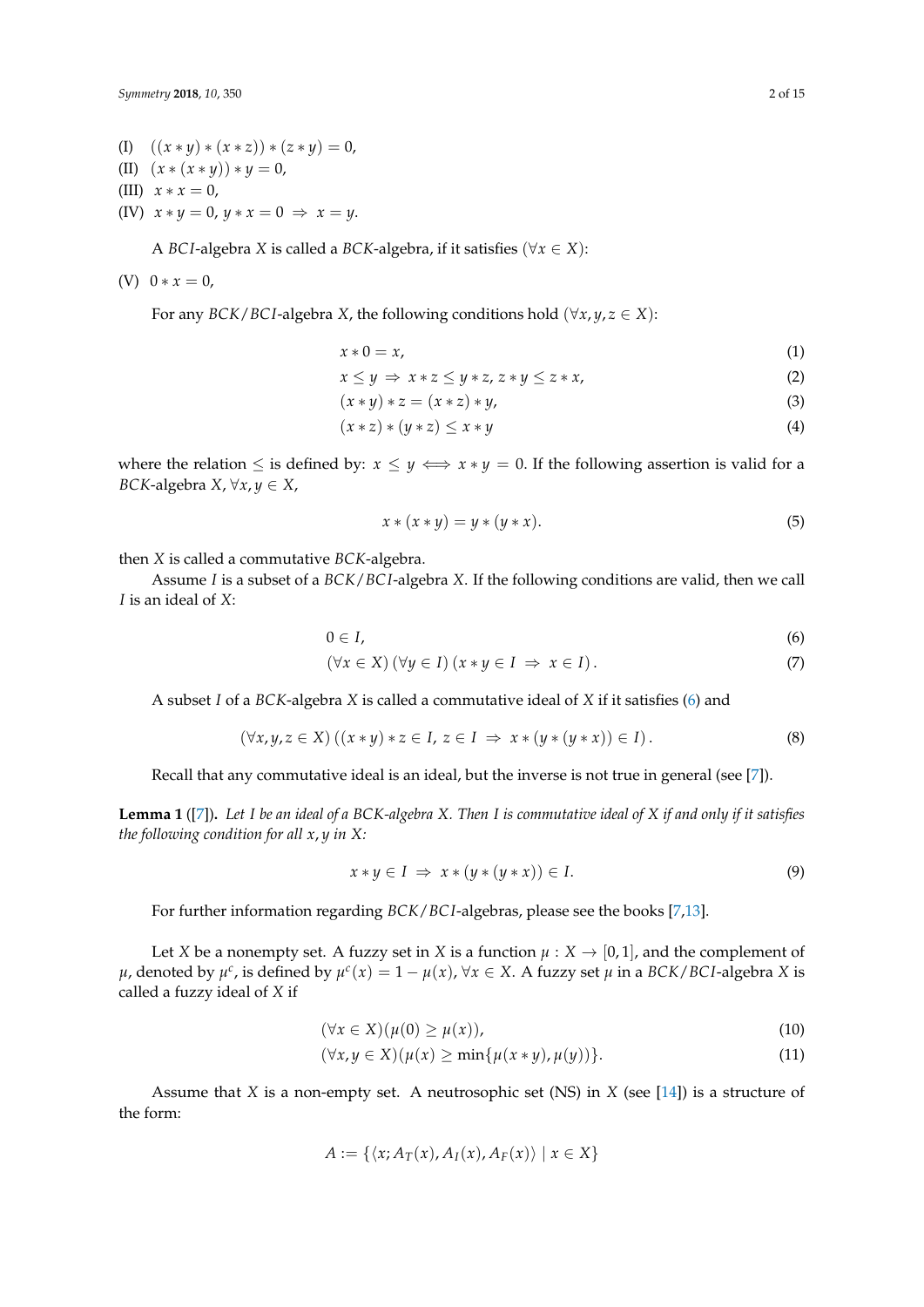*Symmetry* **2018**, *10*, 350 2 of 15

- (I)  $((x * y) * (x * z)) * (z * y) = 0,$ (II)  $(x * (x * y)) * y = 0$ , (III)  $x * x = 0$ ,
- (IV)  $x * y = 0$ ,  $y * x = 0 \Rightarrow x = y$ .

A *BCI*-algebra *X* is called a *BCK*-algebra, if it satisfies ( $\forall x \in X$ ):

$$
(V) 0 * x = 0,
$$

For any *BCK*/*BCI*-algebra *X*, the following conditions hold ( $\forall x, y, z \in X$ ):

$$
x \ast 0 = x,\tag{1}
$$

$$
x \le y \Rightarrow x * z \le y * z, z * y \le z * x,
$$
  
(x \* y) \* z = (x \* z) \* y (2) (3)

$$
(x * y) * z = (x * z) * y,
$$
  
\n
$$
(x * z) * (u * z) < x * u
$$
  
\n(4)

$$
(x * z) * (y * z) \leq x * y \tag{4}
$$

where the relation  $\leq$  is defined by:  $x \leq y \iff x \ast y = 0$ . If the following assertion is valid for a *BCK*-algebra *X*,  $\forall x, y \in X$ ,

<span id="page-1-1"></span><span id="page-1-0"></span>
$$
x * (x * y) = y * (y * x). \tag{5}
$$

then *X* is called a commutative *BCK*-algebra.

Assume *I* is a subset of a *BCK*/*BC I*-algebra *X*. If the following conditions are valid, then we call *I* is an ideal of *X*:

$$
0\in I,\tag{6}
$$

$$
(\forall x \in X) (\forall y \in I) (x * y \in I \Rightarrow x \in I).
$$
\n(7)

A subset *I* of a *BCK*-algebra *X* is called a commutative ideal of *X* if it satisfies [\(6\)](#page-1-0) and

$$
(\forall x, y, z \in X) ((x * y) * z \in I, z \in I \Rightarrow x * (y * (y * x)) \in I).
$$
\n
$$
(8)
$$

Recall that any commutative ideal is an ideal, but the inverse is not true in general (see [\[7\]](#page-13-5)).

<span id="page-1-3"></span>**Lemma 1** ([\[7\]](#page-13-5))**.** *Let I be an ideal of a BCK-algebra X. Then I is commutative ideal of X if and only if it satisfies the following condition for all x*, *y in X:*

<span id="page-1-2"></span>
$$
x * y \in I \implies x * (y * (y * x)) \in I. \tag{9}
$$

For further information regarding *BCK*/*BC I*-algebras, please see the books [\[7](#page-13-5)[,13\]](#page-13-6).

Let *X* be a nonempty set. A fuzzy set in *X* is a function  $\mu$  :  $X \rightarrow [0, 1]$ , and the complement of *µ*, denoted by *µ*<sup>*c*</sup>, is defined by *µ*<sup>*c*</sup>(*x*) = 1 − *µ*(*x*), ∀*x* ∈ *X*. A fuzzy set *µ* in a *BCK*/*BCI*-algebra *X* is called a fuzzy ideal of *X* if

$$
(\forall x \in X)(\mu(0) \ge \mu(x)), \tag{10}
$$

$$
(\forall x, y \in X)(\mu(x) \ge \min\{\mu(x \ast y), \mu(y))\}.
$$
\n(11)

Assume that *X* is a non-empty set. A neutrosophic set (NS) in *X* (see [\[14\]](#page-13-7)) is a structure of the form:

$$
A := \{ \langle x; A_T(x), A_I(x), A_F(x) \rangle \mid x \in X \}
$$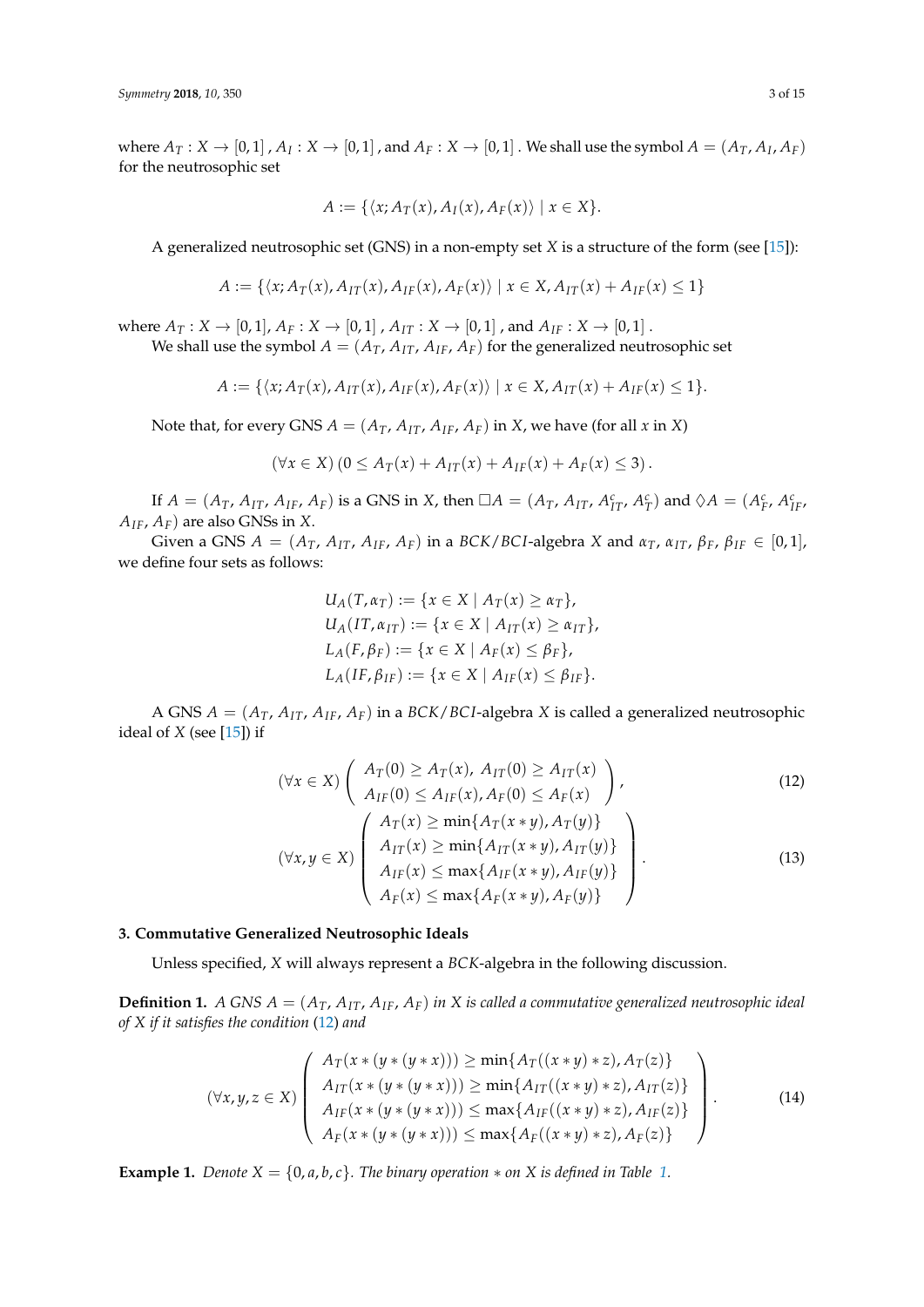where  $A_T: X\to [0,1]$  ,  $A_I: X\to [0,1]$  , and  $A_F: X\to [0,1]$  . We shall use the symbol  $A=(A_T,A_I,A_F)$ for the neutrosophic set

$$
A := \{ \langle x; A_T(x), A_I(x), A_F(x) \rangle \mid x \in X \}.
$$

A generalized neutrosophic set (GNS) in a non-empty set *X* is a structure of the form (see [\[15\]](#page-13-8)):

$$
A := \{ \langle x, A_T(x), A_{IT}(x), A_{IF}(x), A_F(x) \rangle \mid x \in X, A_{IT}(x) + A_{IF}(x) \leq 1 \}
$$

where  $A_T: X \to [0,1], A_F: X \to [0,1]$ ,  $A_{IT}: X \to [0,1]$ , and  $A_{IF}: X \to [0,1]$ .

We shall use the symbol  $A = (A_T, A_{IT}, A_{IF}, A_F)$  for the generalized neutrosophic set

$$
A := \{ \langle x; A_T(x), A_{IT}(x), A_{IF}(x), A_F(x) \rangle \mid x \in X, A_{IT}(x) + A_{IF}(x) \leq 1 \}.
$$

Note that, for every GNS  $A = (A_T, A_{IT}, A_{IF}, A_F)$  in *X*, we have (for all *x* in *X*)

$$
(\forall x \in X) (0 \leq A_T(x) + A_{IT}(x) + A_{IF}(x) + A_F(x) \leq 3).
$$

If  $A = (A_T, A_{IT}, A_{IF}, A_F)$  is a GNS in X, then  $\Box A = (A_T, A_{IT}, A_{IT}^c, A_T^c)$  and  $\Diamond A = (A_F^c, A_{IF}^c, A_{IF}^c, A_{IF}^c, A_{IF}^c, A_{IF}^c, A_{IF}^c, A_{IF}^c, A_{IF}^c, A_{IF}^c, A_{IF}^c, A_{IF}^c, A_{IF}^c, A_{IF}^c, A_{IF}^c, A_{IF}^c, A_{IF}^c, A_{IF}^c, A_{IF}^c, A_{IF}^c, A_{IF$  $A_{IF}$ ,  $A_F$ ) are also GNSs in *X*.

Given a GNS  $A = (A_T, A_{IT}, A_{IF}, A_F)$  in a BCK/BCI-algebra X and  $\alpha_T$ ,  $\alpha_{IT}$ ,  $\beta_F$ ,  $\beta_{IF} \in [0,1]$ , we define four sets as follows:

<span id="page-2-0"></span>
$$
U_A(T, \alpha_T) := \{ x \in X \mid A_T(x) \ge \alpha_T \},
$$
  
\n
$$
U_A(IT, \alpha_{IT}) := \{ x \in X \mid A_{IT}(x) \ge \alpha_{IT} \},
$$
  
\n
$$
L_A(F, \beta_F) := \{ x \in X \mid A_F(x) \le \beta_F \},
$$
  
\n
$$
L_A(IF, \beta_{IF}) := \{ x \in X \mid A_{IF}(x) \le \beta_{IF} \}.
$$

A GNS  $A = (A_T, A_{IT}, A_{IF}, A_F)$  in a *BCK*/*BCI*-algebra *X* is called a generalized neutrosophic ideal of  $X$  (see [\[15\]](#page-13-8)) if

$$
(\forall x \in X) \left( \begin{array}{c} A_T(0) \ge A_T(x), A_{IT}(0) \ge A_{IT}(x) \\ A_{IF}(0) \le A_{IF}(x), A_F(0) \le A_F(x) \end{array} \right),
$$
\n
$$
(\forall x, y \in X) \left( \begin{array}{c} A_T(x) \ge \min\{A_T(x*y), A_T(y)\} \\ A_{IT}(x) \ge \min\{A_{IT}(x*y), A_{IT}(y)\} \\ A_{IF}(x) \le \max\{A_{IF}(x*y), A_{IF}(y)\} \\ A_F(x) \le \max\{A_F(x*y), A_F(y)\} \end{array} \right).
$$
\n(13)

#### **3. Commutative Generalized Neutrosophic Ideals**

Unless specified, *X* will always represent a *BCK*-algebra in the following discussion.

**Definition 1.** *A GNS*  $A = (A_T, A_{IT}, A_{IF}, A_F)$  *in X is called a commutative generalized neutrosophic ideal of X if it satisfies the condition* [\(12\)](#page-2-0) *and*

<span id="page-2-1"></span>
$$
(\forall x, y, z \in X) \left( \begin{array}{c} A_T(x * (y * (y * x))) \ge \min\{A_T((x * y) * z), A_T(z)\} \\ A_{IT}(x * (y * (y * x))) \ge \min\{A_{IT}((x * y) * z), A_{IT}(z)\} \\ A_{IF}(x * (y * (y * x))) \le \max\{A_{IF}((x * y) * z), A_{IF}(z)\} \\ A_F(x * (y * (y * x))) \le \max\{A_F((x * y) * z), A_F(z)\} \end{array} \right). \tag{14}
$$

**Example [1.](#page-3-0)** *Denote*  $X = \{0, a, b, c\}$ *. The binary operation*  $*$  *on*  $X$  *is defined in Table* 1*.*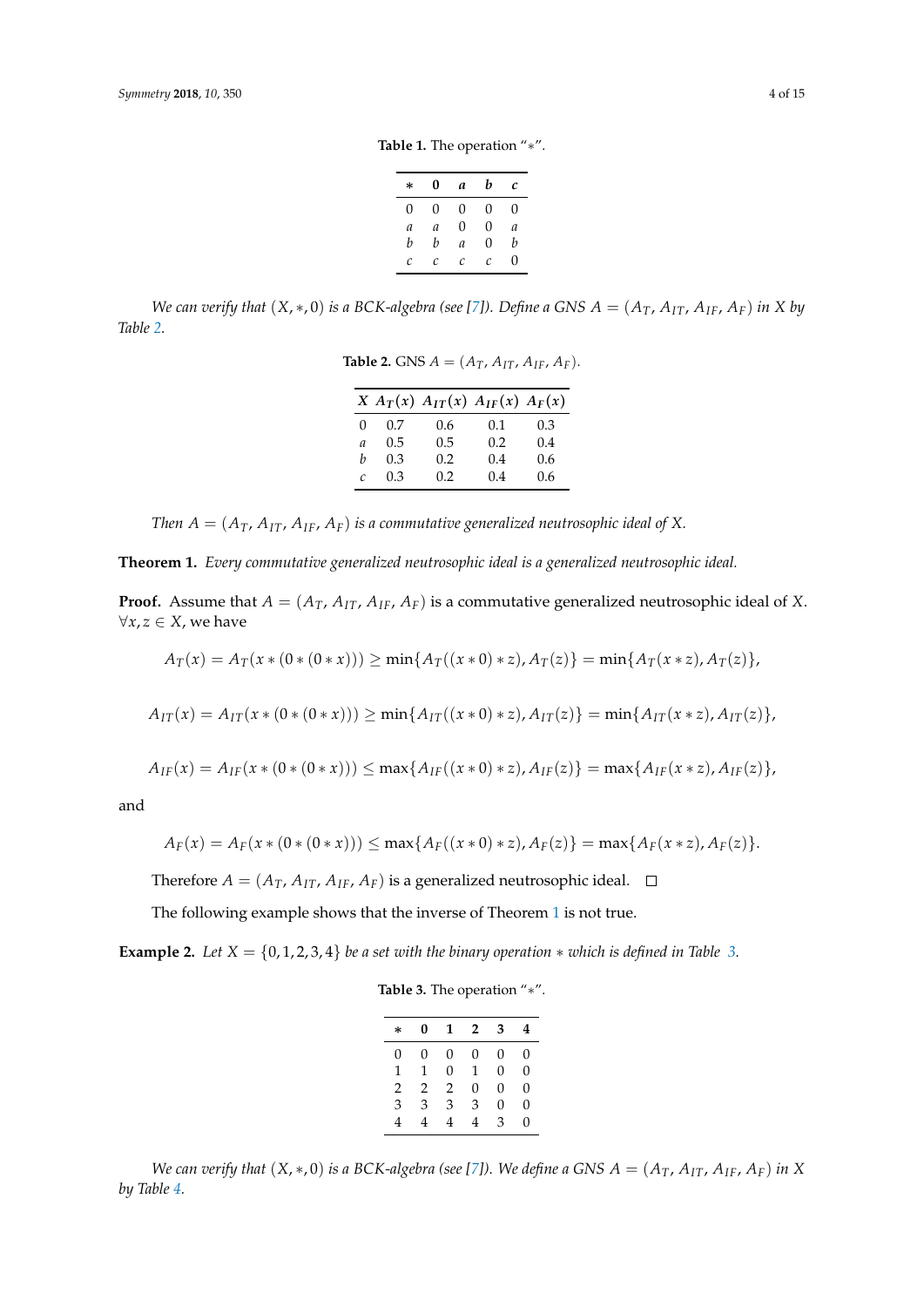**Table 1.** The operation "∗".

| * | 0 | a | b | с |
|---|---|---|---|---|
| 0 | 0 | 0 | 0 | 0 |
| a | a | 0 | 0 | a |
| b | b | a | 0 | b |
| С | С | C | C | 0 |

<span id="page-3-1"></span><span id="page-3-0"></span>We can verify that  $(X,*,0)$  is a BCK-algebra (see [\[7\]](#page-13-5)). Define a GNS  $A = (A_T, A_{IT}, A_{IF}, A_F)$  in X by *Table [2.](#page-3-1)*

**Table 2.** GNS  $A = (A_T, A_{IT}, A_{IF}, A_F)$ .

|                  |     | $X A_T(x) A_{IT}(x) A_{IF}(x) A_F(x)$ |     |     |
|------------------|-----|---------------------------------------|-----|-----|
| $\left( \right)$ | 0.7 | 0.6                                   | 0.1 | 0.3 |
| a                | 0.5 | 0.5                                   | 0.2 | 0.4 |
| h                | 0.3 | $0.2^{\circ}$                         | 0.4 | 0.6 |
| C                | 0.3 | 0.2                                   | 0.4 | 0.6 |

*Then*  $A = (A_T, A_{IT}, A_{IF}, A_F)$  *is a commutative generalized neutrosophic ideal of* X.

<span id="page-3-2"></span>**Theorem 1.** *Every commutative generalized neutrosophic ideal is a generalized neutrosophic ideal.*

**Proof.** Assume that  $A = (A_T, A_{IT}, A_{IF}, A_F)$  is a commutative generalized neutrosophic ideal of *X*.  $∀x, z ∈ X$ , we have

$$
A_T(x) = A_T(x * (0 * (0 * x))) \ge \min\{A_T((x * 0) * z), A_T(z)\} = \min\{A_T(x * z), A_T(z)\},
$$

$$
A_{IT}(x) = A_{IT}(x * (0 * (0 * x))) \ge \min\{A_{IT}((x * 0) * z), A_{IT}(z)\} = \min\{A_{IT}(x * z), A_{IT}(z)\},
$$

$$
A_{IF}(x) = A_{IF}(x * (0 * (0 * x))) \le \max\{A_{IF}((x * 0) * z), A_{IF}(z)\} = \max\{A_{IF}(x * z), A_{IF}(z)\},
$$

and

$$
A_F(x) = A_F(x * (0 * (0 * x))) \le \max\{A_F((x * 0) * z), A_F(z)\} = \max\{A_F(x * z), A_F(z)\}.
$$

Therefore  $A = (A_T, A_{IT}, A_{IF}, A_F)$  is a generalized neutrosophic ideal.  $\square$ 

The following example shows that the inverse of Theorem [1](#page-3-2) is not true.

<span id="page-3-3"></span>**Example 2.** *Let*  $X = \{0, 1, 2, 3, 4\}$  *be a set with the binary operation*  $*$  *which is defined in Table* [3.](#page-3-3)

|  |  | Table 3. The operation "*". |  |
|--|--|-----------------------------|--|
|--|--|-----------------------------|--|

| $\ast$ | 0 | 1 | $\overline{2}$ | 3 | 4 |
|--------|---|---|----------------|---|---|
| 0      | 0 | 0 | 0              | 0 | 0 |
| 1      | 1 | 0 | 1              | 0 | 0 |
| 2      | 2 | 2 | 0              | 0 | 0 |
| 3      | 3 | 3 | 3              | 0 | 0 |
| 4      | 4 | 4 | 4              | З | 0 |

*We can verify that*  $(X, *0)$  *is a BCK-algebra (see [\[7\]](#page-13-5)). We define a GNS*  $A = (A_T, A_{IT}, A_{IF}, A_F)$  *in*  $X$ *by Table [4.](#page-4-0)*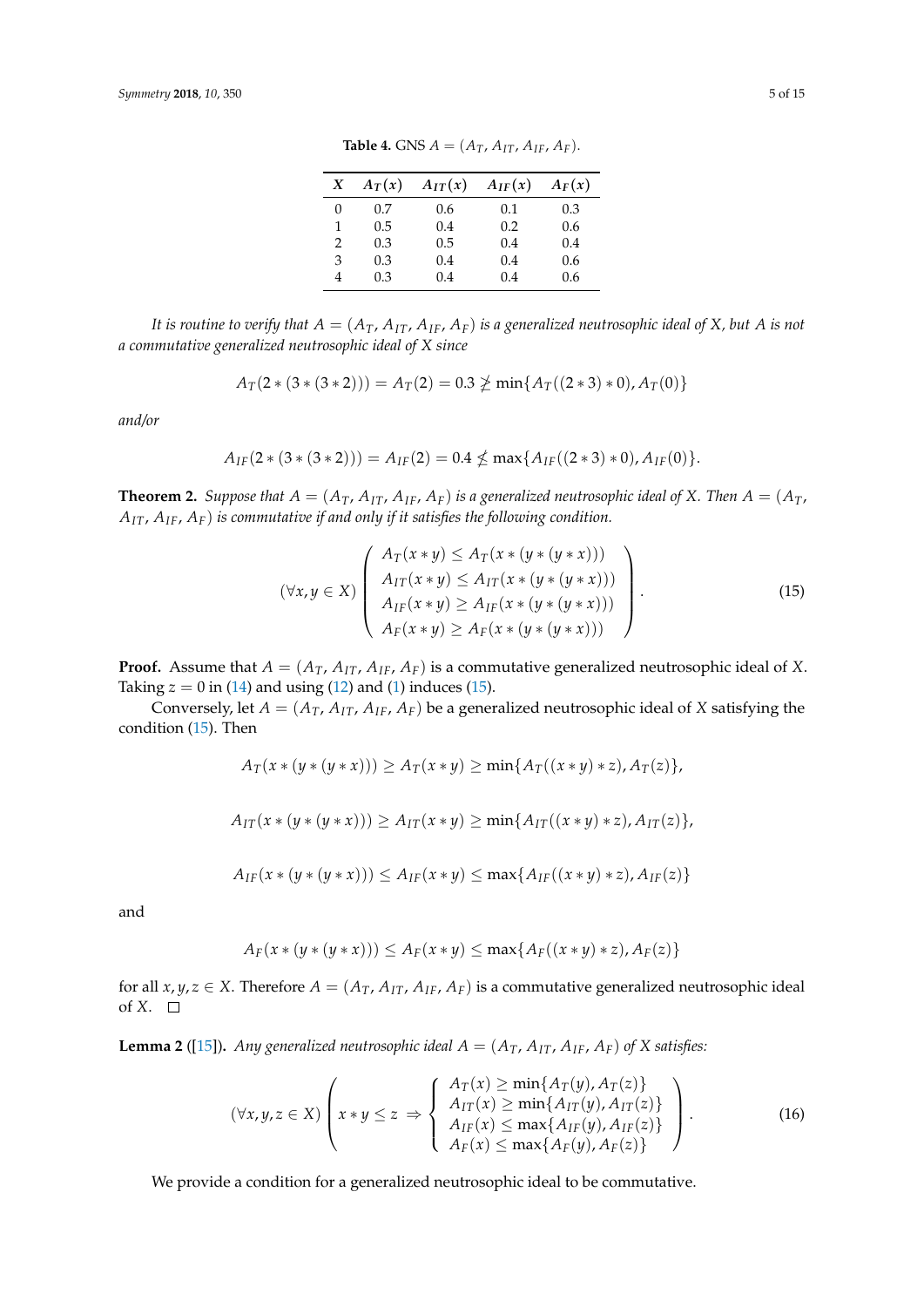| X | $A_T(x)$ | $A_{IT}(x)$ | $A_{IF}(x)$ | $A_F(x)$ |
|---|----------|-------------|-------------|----------|
| 0 | 0.7      | 0.6         | 0.1         | 0.3      |
| 1 | 0.5      | 0.4         | 0.2         | 0.6      |
| 2 | 0.3      | 0.5         | 0.4         | 0.4      |
| 3 | 0.3      | 0.4         | 0.4         | 0.6      |
| 4 | 0.3      | 0.4         | 0.4         | 0.6      |

**Table 4.** GNS  $A = (A_T, A_{IT}, A_{IF}, A_F)$ .

<span id="page-4-0"></span>*It is routine to verify that*  $A = (A_T, A_{IT}, A_{IF}, A_F)$  *is a generalized neutrosophic ideal of X, but A is not a commutative generalized neutrosophic ideal of X since*

$$
A_T(2*(3*(3*2))) = A_T(2) = 0.3 \ngeq \min\{A_T((2*3)*0), A_T(0)\}
$$

*and/or*

$$
A_{IF}(2*(3*(3*2))) = A_{IF}(2) = 0.4 \nleq \max\{A_{IF}((2*3)*0), A_{IF}(0)\}.
$$

<span id="page-4-3"></span>**Theorem 2.** *Suppose that*  $A = (A_T, A_{IT}, A_{IF}, A_F)$  *is a generalized neutrosophic ideal of X. Then*  $A = (A_T, A_{IT}, A_{IF}, A_F)$  *is a generalized neutrosophic ideal of X. Then*  $A = (A_T, A_{IT}, A_{IF}, A_F)$ *AIT*, *AIF*, *AF*) *is commutative if and only if it satisfies the following condition.*

<span id="page-4-1"></span>
$$
(\forall x, y \in X) \left( \begin{array}{c} A_T(x * y) \leq A_T(x * (y * (y * x))) \\ A_{IT}(x * y) \leq A_{IT}(x * (y * (y * x))) \\ A_{IF}(x * y) \geq A_{IF}(x * (y * (y * x))) \\ A_F(x * y) \geq A_F(x * (y * (y * x))) \end{array} \right).
$$
(15)

**Proof.** Assume that  $A = (A_T, A_{IT}, A_{IF}, A_F)$  is a commutative generalized neutrosophic ideal of *X*. Taking  $z = 0$  in [\(14\)](#page-2-1) and using [\(12\)](#page-2-0) and [\(1\)](#page-1-1) induces [\(15\)](#page-4-1).

Conversely, let  $A = (A_T, A_{IT}, A_{IF}, A_F)$  be a generalized neutrosophic ideal of *X* satisfying the condition [\(15\)](#page-4-1). Then

$$
A_T(x * (y * (y * x))) \ge A_T(x * y) \ge \min\{A_T((x * y) * z), A_T(z)\},\
$$

$$
A_{IT}(x * (y * (y * x))) \ge A_{IT}(x * y) \ge \min\{A_{IT}((x * y) * z), A_{IT}(z)\},\
$$

$$
A_{IF}(x * (y * (y * x))) \leq A_{IF}(x * y) \leq \max\{A_{IF}((x * y) * z), A_{IF}(z)\}\
$$

and

$$
A_F(x * (y * (y * x))) \le A_F(x * y) \le \max\{A_F((x * y) * z), A_F(z)\}\
$$

for all  $x, y, z \in X$ . Therefore  $A = (A_T, A_{IT}, A_{IF}, A_F)$  is a commutative generalized neutrosophic ideal of *X*.  $\square$ 

<span id="page-4-2"></span>**Lemma 2** ([\[15\]](#page-13-8)). *Any generalized neutrosophic ideal*  $A = (A_T, A_{IT}, A_{IF}, A_F)$  *of X satisfies:* 

$$
(\forall x, y, z \in X) \left( x \ast y \leq z \Rightarrow \begin{cases} A_T(x) \geq \min\{A_T(y), A_T(z)\} \\ A_{IT}(x) \geq \min\{A_{IT}(y), A_{IT}(z)\} \\ A_{IF}(x) \leq \max\{A_{IF}(y), A_{IF}(z)\} \\ A_F(x) \leq \max\{A_F(y), A_F(z)\} \end{cases} \right). \tag{16}
$$

We provide a condition for a generalized neutrosophic ideal to be commutative.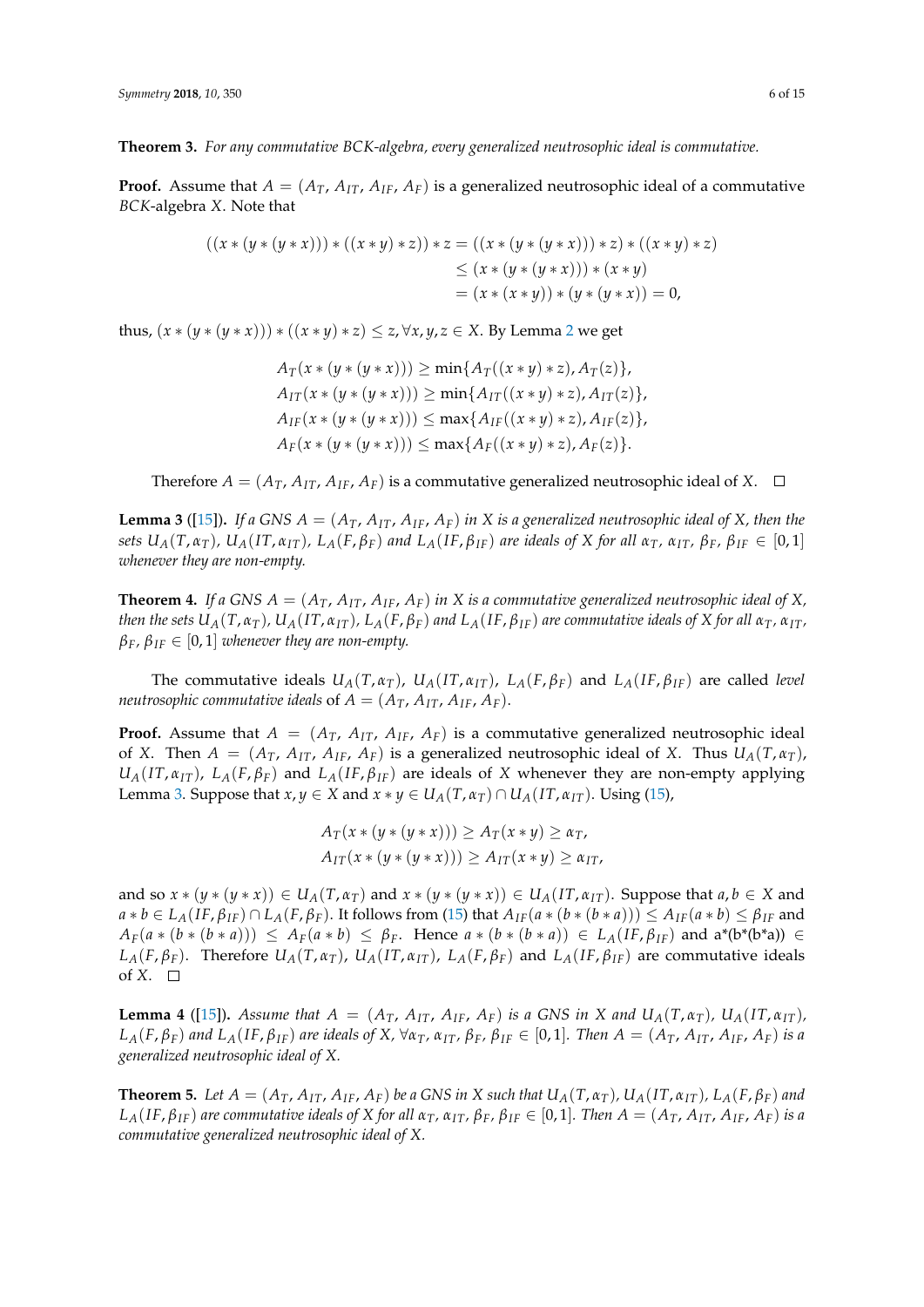**Theorem 3.** *For any commutative BCK-algebra, every generalized neutrosophic ideal is commutative.*

**Proof.** Assume that  $A = (A_T, A_{IT}, A_F, A_F)$  is a generalized neutrosophic ideal of a commutative *BCK*-algebra *X*. Note that

$$
((x * (y * (y * x))) * ((x * y) * z)) * z = ((x * (y * (y * x))) * z) * ((x * y) * z)
$$
  
\n
$$
\leq (x * (y * (y * x))) * (x * y)
$$
  
\n
$$
= (x * (x * y)) * (y * (y * x)) = 0,
$$

thus,  $(x * (y * (y * x))) * ((x * y) * z) \le z$ ,  $\forall x, y, z \in X$ . By Lemma [2](#page-4-2) we get

$$
A_T(x * (y * (y * x))) \ge \min\{A_T((x * y) * z), A_T(z)\},
$$
  
\n
$$
A_{IT}(x * (y * (y * x))) \ge \min\{A_{IT}((x * y) * z), A_{IT}(z)\},
$$
  
\n
$$
A_{IF}(x * (y * (y * x))) \le \max\{A_{IF}((x * y) * z), A_{IF}(z)\},
$$
  
\n
$$
A_F(x * (y * (y * x))) \le \max\{A_F((x * y) * z), A_F(z)\}.
$$

Therefore  $A = (A_T, A_{IT}, A_{IF}, A_F)$  is a commutative generalized neutrosophic ideal of X.  $\Box$ 

<span id="page-5-0"></span>**Lemma 3** ([\[15\]](#page-13-8)). If a GNS  $A = (A_T, A_{IT}, A_{IF}, A_F)$  *in*  $X$  *is a generalized neutrosophic ideal of*  $X$ *, then the* sets  $U_A(T, \alpha_T)$ ,  $U_A(T, \alpha_{IT})$ ,  $L_A(F, \beta_F)$  and  $L_A(IF, \beta_{IF})$  are ideals of X for all  $\alpha_T$ ,  $\alpha_{IT}$ ,  $\beta_F$ ,  $\beta_{IF} \in [0, 1]$ *whenever they are non-empty.*

**Theorem 4.** If a GNS  $A = (A_T, A_{IT}, A_{IF}, A_F)$  in X is a commutative generalized neutrosophic ideal of X, then the sets  $U_A(T, \alpha_T)$ ,  $U_A(T, \alpha_{IT})$ ,  $L_A(F, \beta_F)$  and  $L_A(F, \beta_{IF})$  are commutative ideals of X for all  $\alpha_T$ ,  $\alpha_{IT}$ ,  $\beta_F$ ,  $\beta_{IF} \in [0,1]$  *whenever they are non-empty.* 

The commutative ideals  $U_A(T, \alpha_T)$ ,  $U_A(T, \alpha_{IT})$ ,  $L_A(F, \beta_F)$  and  $L_A(IF, \beta_{IF})$  are called level *neutrosophic commutative ideals* of  $A = (A_T, A_{IT}, A_{IF}, A_F)$ .

**Proof.** Assume that  $A = (A_T, A_{IT}, A_{IF}, A_F)$  is a commutative generalized neutrosophic ideal of *X*. Then  $A = (A_T, A_{IT}, A_{IF}, A_F)$  is a generalized neutrosophic ideal of *X*. Thus  $U_A(T, \alpha_T)$ ,  $U_A(T, \alpha_{IT})$ ,  $L_A(F, \beta_F)$  and  $L_A(IF, \beta_{IF})$  are ideals of *X* whenever they are non-empty applying Lemma [3.](#page-5-0) Suppose that  $x, y \in X$  and  $x * y \in U_A(T, \alpha_T) \cap U_A(T, \alpha_{TT})$ . Using [\(15\)](#page-4-1),

$$
A_T(x * (y * (y * x))) \ge A_T(x * y) \ge \alpha_T,
$$
  

$$
A_{IT}(x * (y * (y * x))) \ge A_{IT}(x * y) \ge \alpha_{IT},
$$

and so  $x * (y * (y * x)) \in U_A(T, \alpha_T)$  and  $x * (y * (y * x)) \in U_A(T, \alpha_{IT})$ . Suppose that  $a, b \in X$  and  $a * b \in L_A(IF, \beta_{IF}) \cap L_A(F, \beta_F)$ . It follows from [\(15\)](#page-4-1) that  $A_{IF}(a * (b * (b * a))) \leq A_{IF}(a * b) \leq \beta_{IF}$  and  $A_F(a * (b * (b * a))) \leq A_F(a * b) \leq \beta_F$ . Hence  $a * (b * (b * a)) \in L_A(IF, \beta_{IF})$  and  $a^*(b^*(b^*a)) \in L_B(IF, \beta_{IF})$  $L_A(F,\beta_F)$ . Therefore  $U_A(T,\alpha_T)$ ,  $U_A(T,\alpha_{IT})$ ,  $L_A(F,\beta_F)$  and  $L_A(IF,\beta_{IF})$  are commutative ideals of *X*.  $\square$ 

<span id="page-5-1"></span>**Lemma 4** ([\[15\]](#page-13-8)). Assume that  $A = (A_T, A_{IT}, A_{IF}, A_F)$  is a GNS in X and  $U_A(T, \alpha_T)$ ,  $U_A(T, \alpha_{IT})$ ,  $L_A(F,\beta_F)$  and  $L_A(IF,\beta_{IF})$  are ideals of X,  $\forall \alpha_T$ ,  $\alpha_{IT}$ ,  $\beta_F$ ,  $\beta_{IF} \in [0,1]$ . Then  $A = (A_T, A_{IT}, A_{IF}, A_F)$  is a *generalized neutrosophic ideal of X.*

<span id="page-5-2"></span>**Theorem 5.** Let  $A = (A_T, A_{IT}, A_{IF}, A_F)$  be a GNS in X such that  $U_A(T, \alpha_T)$ ,  $U_A(T, \alpha_{IT})$ ,  $L_A(F, \beta_F)$  and  $L_A(IF, \beta_{IF})$  are commutative ideals of X for all  $\alpha_T$ ,  $\alpha_{IT}$ ,  $\beta_F$ ,  $\beta_{IF} \in [0,1]$ . Then  $A = (A_T, A_{IT}, A_{IF}, A_F)$  is a *commutative generalized neutrosophic ideal of X.*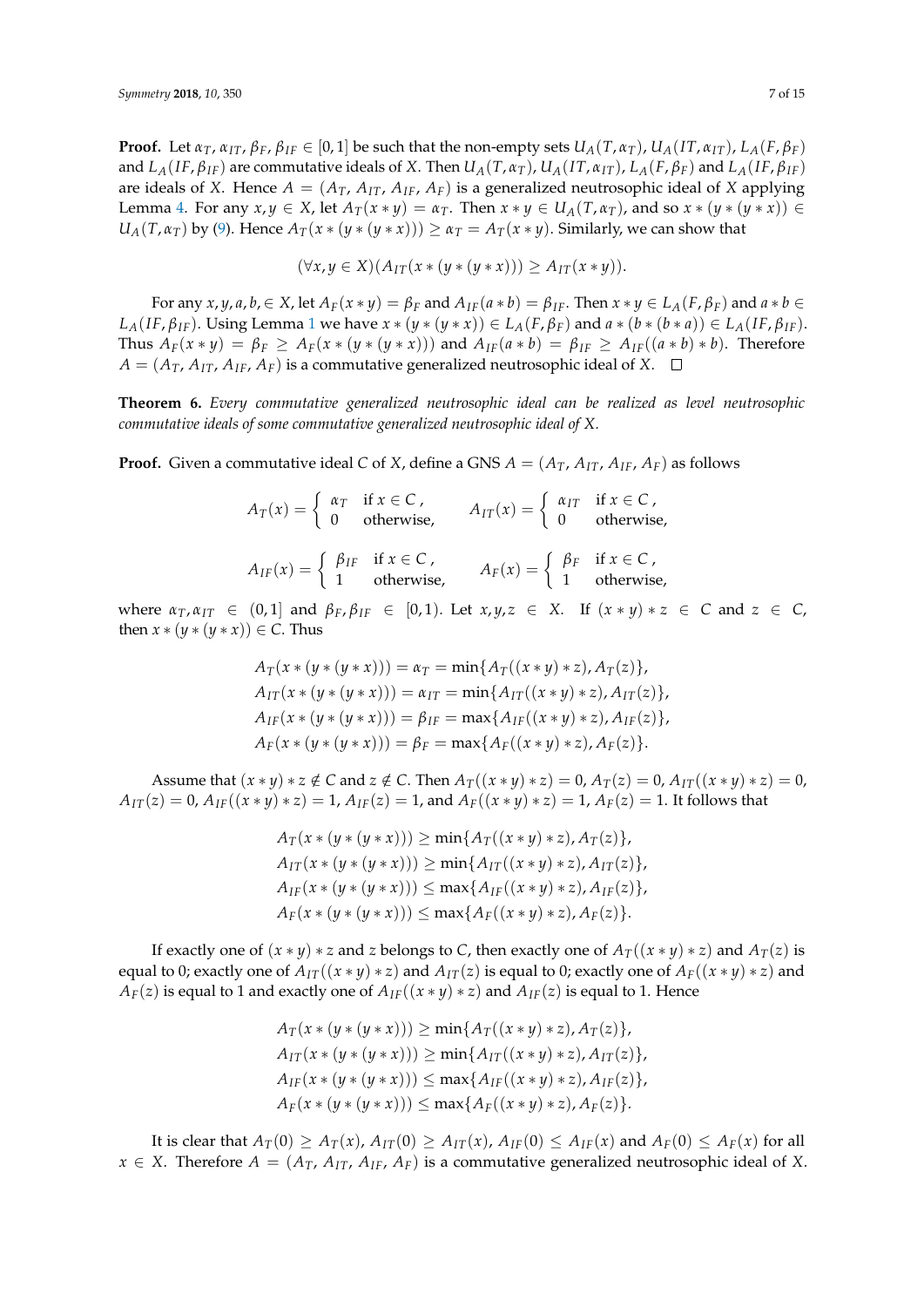**Proof.** Let  $\alpha_T$ ,  $\alpha_{IT}$ ,  $\beta_F$ ,  $\beta_{IF} \in [0,1]$  be such that the non-empty sets  $U_A(T, \alpha_T)$ ,  $U_A(T, \alpha_{IT})$ ,  $L_A(F, \beta_F)$ and  $L_A(IF, \beta_{IF})$  are commutative ideals of X. Then  $U_A(T, \alpha_T)$ ,  $U_A(IT, \alpha_{IT})$ ,  $L_A(F, \beta_F)$  and  $L_A(IF, \beta_{IF})$ are ideals of *X*. Hence  $A = (A_T, A_{IT}, A_{IF}, A_F)$  is a generalized neutrosophic ideal of *X* applying Lemma [4.](#page-5-1) For any  $x, y \in X$ , let  $A_T(x * y) = \alpha_T$ . Then  $x * y \in U_A(T, \alpha_T)$ , and so  $x * (y * (y * x)) \in$  $U_A(T, \alpha_T)$  by [\(9\)](#page-1-2). Hence  $A_T(x * (y * (y * x))) \geq \alpha_T = A_T(x * y)$ . Similarly, we can show that

$$
(\forall x, y \in X)(A_{IT}(x * (y * (y * x))) \geq A_{IT}(x * y)).
$$

For any x, y, a, b,  $\in X$ , let  $A_F(x * y) = \beta_F$  and  $A_{IF}(a * b) = \beta_{IF}$ . Then  $x * y \in L_A(F, \beta_F)$  and  $a * b \in$  $L_A(IF, \beta_{IF})$ . Using Lemma [1](#page-1-3) we have  $x * (y * (y * x)) \in L_A(F, \beta_F)$  and  $a * (b * (b * a)) \in L_A(IF, \beta_{IF})$ . Thus  $A_F(x * y) = \beta_F \geq A_F(x * (y * (y * x)))$  and  $A_{IF}(a * b) = \beta_{IF} \geq A_{IF}((a * b) * b)$ . Therefore  $A = (A_T, A_{IT}, A_{IF}, A_F)$  is a commutative generalized neutrosophic ideal of *X*.  $\Box$ 

**Theorem 6.** *Every commutative generalized neutrosophic ideal can be realized as level neutrosophic commutative ideals of some commutative generalized neutrosophic ideal of X.*

**Proof.** Given a commutative ideal *C* of *X*, define a GNS  $A = (A_T, A_{IT}, A_{IF}, A_F)$  as follows

| $A_T(x) = \begin{cases} \alpha_T & \text{if } x \in C, \\ 0 & \text{otherwise,} \end{cases}$ $A_{IT}(x) = \begin{cases} \alpha_{IT} & \text{if } x \in C, \\ 0 & \text{otherwise,} \end{cases}$ |  |
|-------------------------------------------------------------------------------------------------------------------------------------------------------------------------------------------------|--|
| $A_{IF}(x) = \begin{cases} \beta_{IF} & \text{if } x \in C, \\ 1 & \text{otherwise,} \end{cases}$ $A_F(x) = \begin{cases} \beta_F & \text{if } x \in C, \\ 1 & \text{otherwise,} \end{cases}$   |  |

 $\alpha$ <sub>*IT*</sub>,  $\alpha$ <sub>*IT*</sub> ∈ (0,1) and  $\beta$ <sub>*F*</sub>,  $\beta$ <sub>*IF*</sub> ∈ [0,1). Let *x*, *y*, *z* ∈ *X*. If (*x* ∗ *y*) ∗ *z* ∈ *C* and *z* ∈ *C*, then  $x * (y * (y * x)) \in C$ . Thus

$$
A_T(x * (y * (y * x))) = \alpha_T = \min\{A_T((x * y) * z), A_T(z)\},
$$
  
\n
$$
A_{IT}(x * (y * (y * x))) = \alpha_{IT} = \min\{A_{IT}((x * y) * z), A_{IT}(z)\},
$$
  
\n
$$
A_{IF}(x * (y * (y * x))) = \beta_{IF} = \max\{A_{IF}((x * y) * z), A_{IF}(z)\},
$$
  
\n
$$
A_F(x * (y * (y * x))) = \beta_F = \max\{A_F((x * y) * z), A_F(z)\}.
$$

Assume that  $(x * y) * z \notin C$  and  $z \notin C$ . Then  $A_T((x * y) * z) = 0$ ,  $A_T(z) = 0$ ,  $A_{IT}((x * y) * z) = 0$ ,  $A_{IT}(z) = 0$ ,  $A_{IF}((x * y) * z) = 1$ ,  $A_{IF}(z) = 1$ , and  $A_{F}((x * y) * z) = 1$ ,  $A_{F}(z) = 1$ . It follows that

$$
A_T(x * (y * (y * x))) \ge \min\{A_T((x * y) * z), A_T(z)\},
$$
  
\n
$$
A_{IT}(x * (y * (y * x))) \ge \min\{A_{IT}((x * y) * z), A_{IT}(z)\},
$$
  
\n
$$
A_{IF}(x * (y * (y * x))) \le \max\{A_{IF}((x * y) * z), A_{IF}(z)\},
$$
  
\n
$$
A_F(x * (y * (y * x))) \le \max\{A_F((x * y) * z), A_F(z)\}.
$$

If exactly one of  $(x * y) * z$  and *z* belongs to *C*, then exactly one of  $A_T((x * y) * z)$  and  $A_T(z)$  is equal to 0; exactly one of  $A_{IT}((x * y) * z)$  and  $A_{IT}(z)$  is equal to 0; exactly one of  $A_F((x * y) * z)$  and *A*<sub>*F*</sub>(*z*) is equal to 1 and exactly one of *A*<sub>*IF*</sub>(( $x * y$ )  $* z$ ) and *A*<sub>*IF*</sub>(*z*) is equal to 1. Hence

$$
A_T(x * (y * (y * x))) \ge \min\{A_T((x * y) * z), A_T(z)\},
$$
  
\n
$$
A_{IT}(x * (y * (y * x))) \ge \min\{A_{IT}((x * y) * z), A_{IT}(z)\},
$$
  
\n
$$
A_{IF}(x * (y * (y * x))) \le \max\{A_{IF}((x * y) * z), A_{IF}(z)\},
$$
  
\n
$$
A_F(x * (y * (y * x))) \le \max\{A_F((x * y) * z), A_F(z)\}.
$$

It is clear that  $A_T(0) \ge A_T(x)$ ,  $A_{IT}(0) \ge A_{IT}(x)$ ,  $A_{IF}(0) \le A_{IF}(x)$  and  $A_F(0) \le A_F(x)$  for all *x* ∈ *X*. Therefore *A* = ( $A_T$ ,  $A_{IT}$ ,  $A_{IF}$ ,  $A_F$ ) is a commutative generalized neutrosophic ideal of *X*.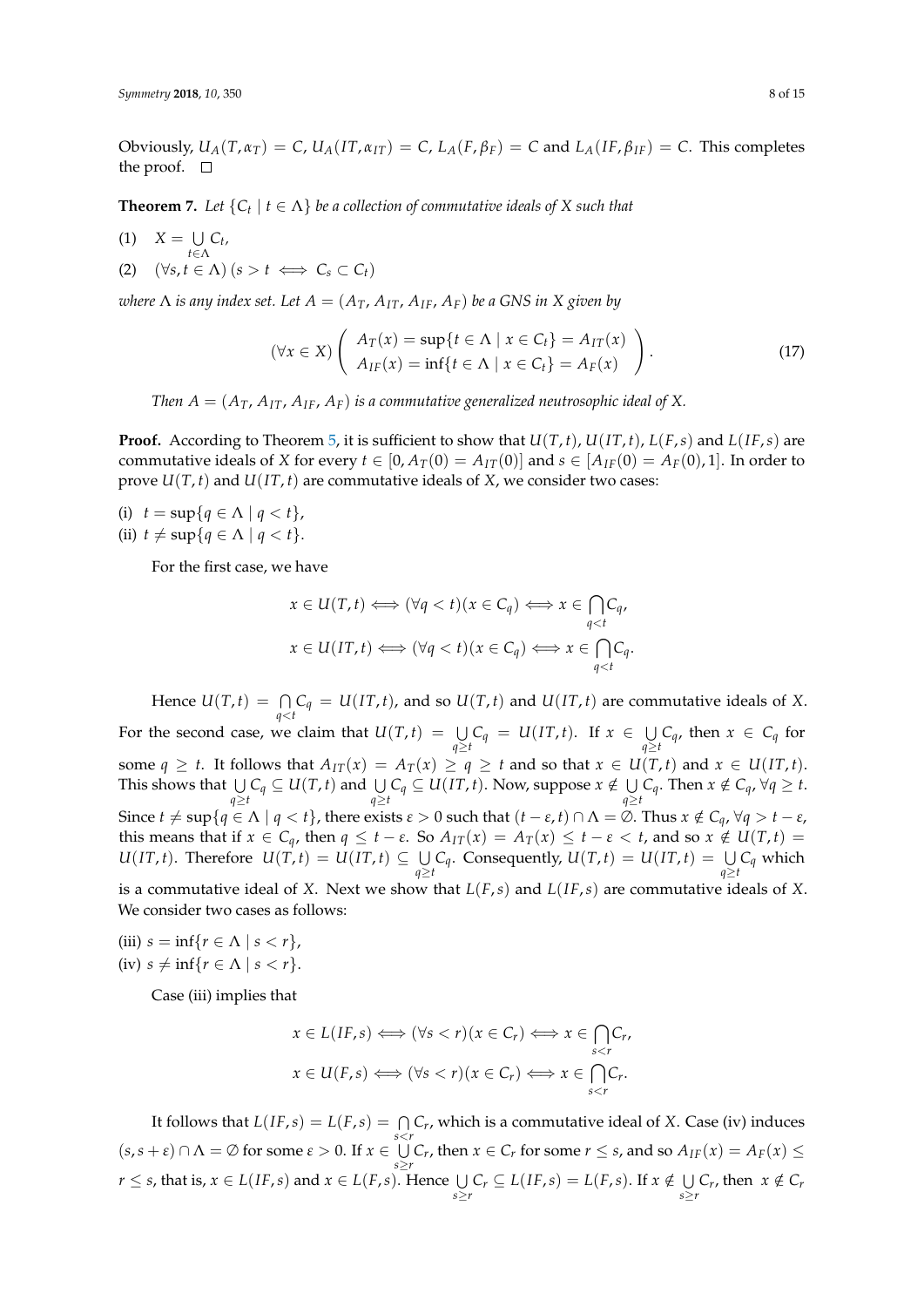Obviously,  $U_A(T, \alpha_T) = C$ ,  $U_A(T, \alpha_{IT}) = C$ ,  $L_A(F, \beta_F) = C$  and  $L_A(IF, \beta_{IF}) = C$ . This completes the proof.  $\Box$ 

**Theorem 7.** Let  $\{C_t \mid t \in \Lambda\}$  be a collection of commutative ideals of X such that

 $(1)$   $X = \bigcup$ *t*∈Λ *Ct ,* (2)  $(\forall s, t \in \Lambda)$   $(s > t \iff C_s \subset C_t)$ 

*where*  $\Lambda$  *is any index set. Let*  $A = (A_T, A_{IT}, A_{IF}, A_F)$  *be a GNS in X given by* 

$$
(\forall x \in X) \left( \begin{array}{c} A_T(x) = \sup\{t \in \Lambda \mid x \in C_t\} = A_{IT}(x) \\ A_{IF}(x) = \inf\{t \in \Lambda \mid x \in C_t\} = A_F(x) \end{array} \right). \tag{17}
$$

*Then*  $A = (A_T, A_{IT}, A_{IF}, A_F)$  *is a commutative generalized neutrosophic ideal of* X.

**Proof.** According to Theorem [5,](#page-5-2) it is sufficient to show that  $U(T, t)$ ,  $U(T, t)$ ,  $L(F, s)$  and  $L(IF, s)$  are commutative ideals of *X* for every  $t \in [0, A_T(0) = A_{IT}(0)]$  and  $s \in [A_{IF}(0) = A_F(0), 1]$ . In order to prove  $U(T, t)$  and  $U(T, t)$  are commutative ideals of *X*, we consider two cases:

(i)  $t = \sup\{q \in \Lambda \mid q < t\},\$ (ii)  $t \neq \sup\{q \in \Lambda \mid q < t\}.$ 

For the first case, we have

$$
x \in U(T, t) \Longleftrightarrow (\forall q < t)(x \in C_q) \Longleftrightarrow x \in \bigcap_{q < t} C_q,
$$
\n
$$
x \in U(T, t) \Longleftrightarrow (\forall q < t)(x \in C_q) \Longleftrightarrow x \in \bigcap_{q < t} C_q.
$$

Hence  $U(T,t) = \bigcap_{q \le t} C_q = U(T,t)$ , and so  $U(T,t)$  and  $U(T,t)$  are commutative ideals of *X*. For the second case, we claim that  $U(T,t) = \bigcup_{q \ge t} C_q = U(T,t)$ . If  $x \in \bigcup_{q \ge t} C_q$  $\bigcup_{q \ge t} C_q$ *,* then *x* ∈ *C*<sup>*q*</sup> for some  $q \ge t$ . It follows that  $A_{IT}(x) = A_T(x) \ge q \ge t$  and so that  $x \in U(T, t)$  and  $x \in U(T, t)$ . This shows that  $\bigcup_{q \geq t} C_q \subseteq U(T, t)$  and  $\bigcup_{q \geq t} C_q \subseteq U(T, t)$ . Now, suppose  $x \notin \bigcup_{q \geq t} C_q$ *Q*  $C_q$ . Then *x* ∉  $C_q$ , ∀*q* ≥ *t*. Since  $t \neq \sup\{q \in \Lambda \mid q < t\}$ , there exists  $\varepsilon > 0$  such that  $(t - \varepsilon, t) \cap \Lambda = \overline{\emptyset}$ . Thus  $x \notin C_q$ ,  $\forall q > t - \varepsilon$ , this means that if  $x \in C_q$ , then  $q \le t - \varepsilon$ . So  $A_{IT}(x) = A_T(x) \le t - \varepsilon < t$ , and so  $x \notin U(T, t) =$  $U(T, t)$ . Therefore  $U(T, t) = U(T, t) \subseteq \cup$ *∪*  $C_q$ . Consequently, *U*(*T*, *t*) = *U*(*IT*, *t*) =  $\bigcup_{q \ge t} C_q$  which

is a commutative ideal of *X*. Next we show that *L*(*F*,*s*) and *L*(*IF*,*s*) are commutative ideals of *X*. We consider two cases as follows:

(iii)  $s = \inf\{r \in \Lambda \mid s < r\},\$ (iv)  $s \neq \inf\{r \in \Lambda \mid s < r\}.$ 

Case (iii) implies that

$$
x \in L(IF,s) \Longleftrightarrow (\forall s < r)(x \in C_r) \Longleftrightarrow x \in \bigcap_{s < r} C_r,
$$
  

$$
x \in U(F,s) \Longleftrightarrow (\forall s < r)(x \in C_r) \Longleftrightarrow x \in \bigcap_{s < r} C_r.
$$

It follows that  $L(IF, s) = L(F, s) = \bigcap C_r$ , which is a commutative ideal of *X*. Case (iv) induces *s*<*r*  $(s, s + \varepsilon) \cap \Lambda = \emptyset$  for some  $\varepsilon > 0$ . If  $x \in \bigcup$ *U C<sub><i>r*</sub>, then *x* ∈ *C<sub><i>r*</sub> for some *r* ≤ *s*, and so *A*<sub>*IF*</sub>(*x*) = *A<sub><i>F*</sub>(*x*) ≤  $\leq$  $r \leq s$ , that is,  $x \in L(IF, s)$  and  $x \in L(F, s)$ . Hence  $\bigcup_{s \geq r} C_r \subseteq L(IF, s) = L(F, s)$ . If  $x \notin \bigcup_{s \geq r} C_s$  $\bigcup_{s \geq r} C_r$ , then  $x \notin C_r$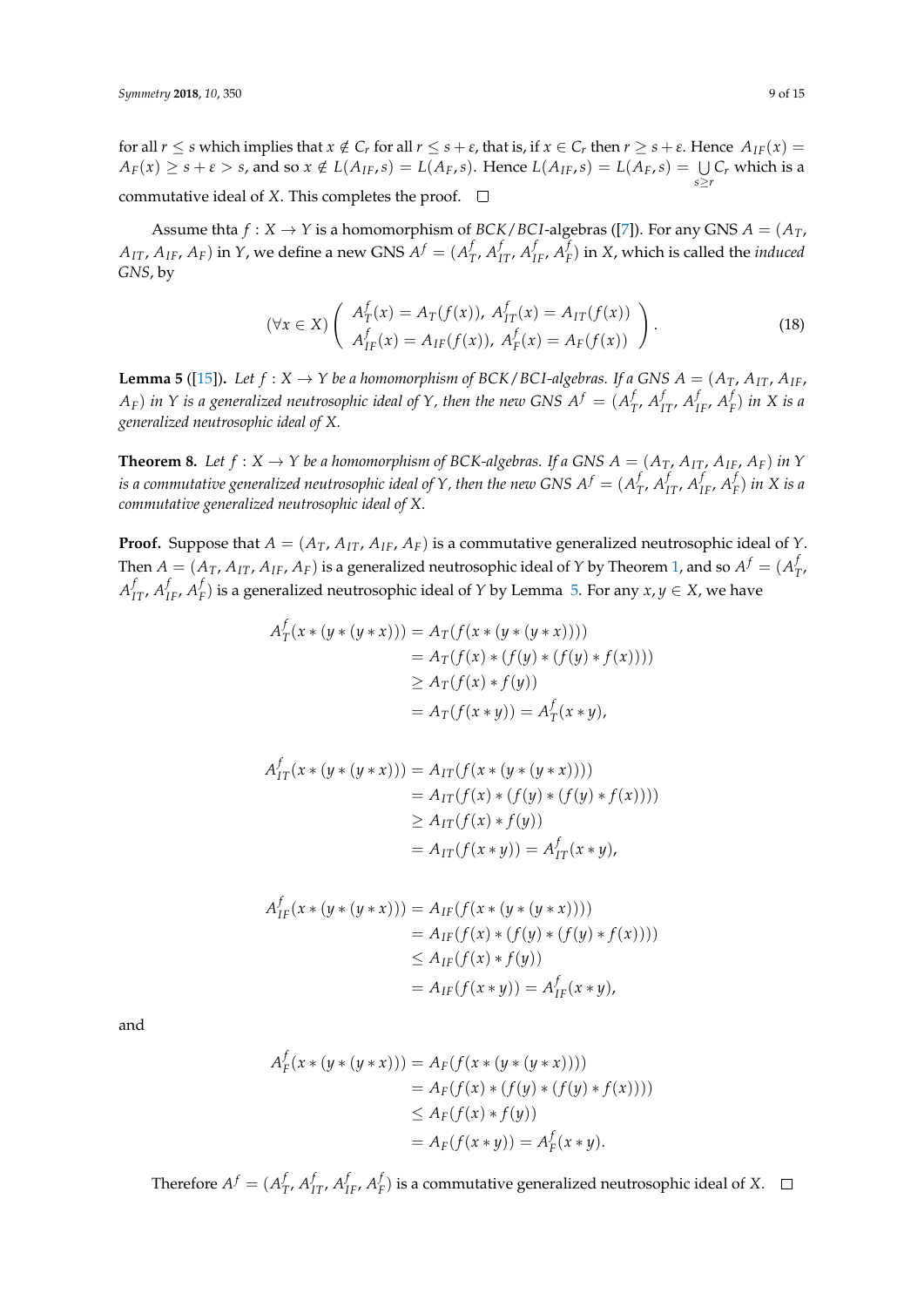for all  $r \leq s$  which implies that  $x \notin C_r$  for all  $r \leq s + \varepsilon$ , that is, if  $x \in C_r$  then  $r \geq s + \varepsilon$ . Hence  $A_{IF}(x) =$  $A_F(x) \geq s + \varepsilon > s$ , and so  $x \notin L(A_{IF}, s) = L(A_F, s)$ . Hence  $L(A_{IF}, s) = L(A_F, s) = \bigcup_{s \geq r} C_r$  which is a commutative ideal of *X*. This completes the proof.  $\Box$ 

Assume thta  $f: X \to Y$  is a homomorphism of *BCK*/*BCI*-algebras ([\[7\]](#page-13-5)). For any GNS  $A = (A_T, A_T)$  $A_{IT}$ ,  $A_{IF}$ ,  $A_{F}$ ) in  $Y$ , we define a new GNS  $A^f = (A^f_T)$  $f_{T}$ ,  $A_{IT}^f$ ,  $A_{IF}^f$ ,  $A_{I}^f$ *F* ) in *X*, which is called the *induced GNS*, by

$$
(\forall x \in X) \left( \begin{array}{c} A_T^f(x) = A_T(f(x)), \ A_{IT}^f(x) = A_{IT}(f(x)) \\ A_{IF}^f(x) = A_{IF}(f(x)), \ A_F^f(x) = A_F(f(x)) \end{array} \right). \tag{18}
$$

<span id="page-8-0"></span>**Lemma 5** ([\[15\]](#page-13-8)). Let  $f : X \to Y$  be a homomorphism of BCK/BCI-algebras. If a GNS  $A = (A_T, A_{IT}, A_{IF}, A_{IF})$  $(A_F)$  *in*  $Y$  *is a generalized neutrosophic ideal of*  $Y$ *, then the new GNS*  $A^f = (A^f_A)$  $f_T$ ,  $A_{IT}^f$ ,  $A_{IF}^f$ ,  $A_I^f$ *F* ) *in X is a generalized neutrosophic ideal of X.*

**Theorem 8.** Let  $f: X \to Y$  be a homomorphism of BCK-algebras. If a GNS  $A = (A_T, A_{IT}, A_{IF}, A_F)$  in Y *is a commutative generalized neutrosophic ideal of Y , then the new GNS*  $A^f = (A^f_{\tau})^f$  $f_{T}$ *, A*<sup> $f$ </sup> $_{IF}$ *, A*<sup> $f$ </sup> $_{IF}$ *F* ) *in X is a commutative generalized neutrosophic ideal of X.*

**Proof.** Suppose that  $A = (A_T, A_{IT}, A_{IF}, A_F)$  is a commutative generalized neutrosophic ideal of *Y*. Then  $A=(A_T,A_{IT},A_{IF},A_F)$  is a generalized neutrosophic ideal of  $Y$  by Theorem [1,](#page-3-2) and so  $A^f=(A^f_T,A^f_T)$ *T* ,  $A_{IT}^f$ ,  $A_{IF}^f$ ,  $A_{I}^f$  $F(F)$  is a generalized neutrosophic ideal of *Y* by Lemma [5.](#page-8-0) For any  $x, y \in X$ , we have

$$
A_T^f(x * (y * (y * x))) = A_T(f(x * (y * (y * x))))
$$
  
=  $A_T(f(x) * (f(y) * (f(y) * f(x))))$   

$$
\geq A_T(f(x) * f(y))
$$
  
=  $A_T(f(x * y)) = A_T^f(x * y),$ 

$$
A_{IT}^f(x * (y * (y * x))) = A_{IT}(f(x * (y * (y * x))))
$$
  
=  $A_{IT}(f(x) * (f(y) * (f(y) * f(x))))$   

$$
\geq A_{IT}(f(x) * f(y))
$$
  
=  $A_{IT}(f(x * y)) = A_{IT}^f(x * y),$ 

$$
A_{IF}^f(x * (y * (y * x))) = A_{IF}(f(x * (y * (y * x))))
$$
  
=  $A_{IF}(f(x) * (f(y) * (f(y) * f(x))))$   
 $\leq A_{IF}(f(x) * f(y))$   
=  $A_{IF}(f(x * y)) = A_{IF}^f(x * y),$ 

and

$$
A_F^f(x * (y * (y * x))) = A_F(f(x * (y * (y * x))))
$$
  
=  $A_F(f(x) * (f(y) * (f(y) * f(x))))$   
 $\leq A_F(f(x) * f(y))$   
=  $A_F(f(x * y)) = A_F^f(x * y).$ 

Therefore  $A^f = (A^f_7)$  $f_{T}$ ,  $A_{IT}^f$ ,  $A_{IF}^f$ ,  $A_{I}^f$ *F* ) is a commutative generalized neutrosophic ideal of *X*.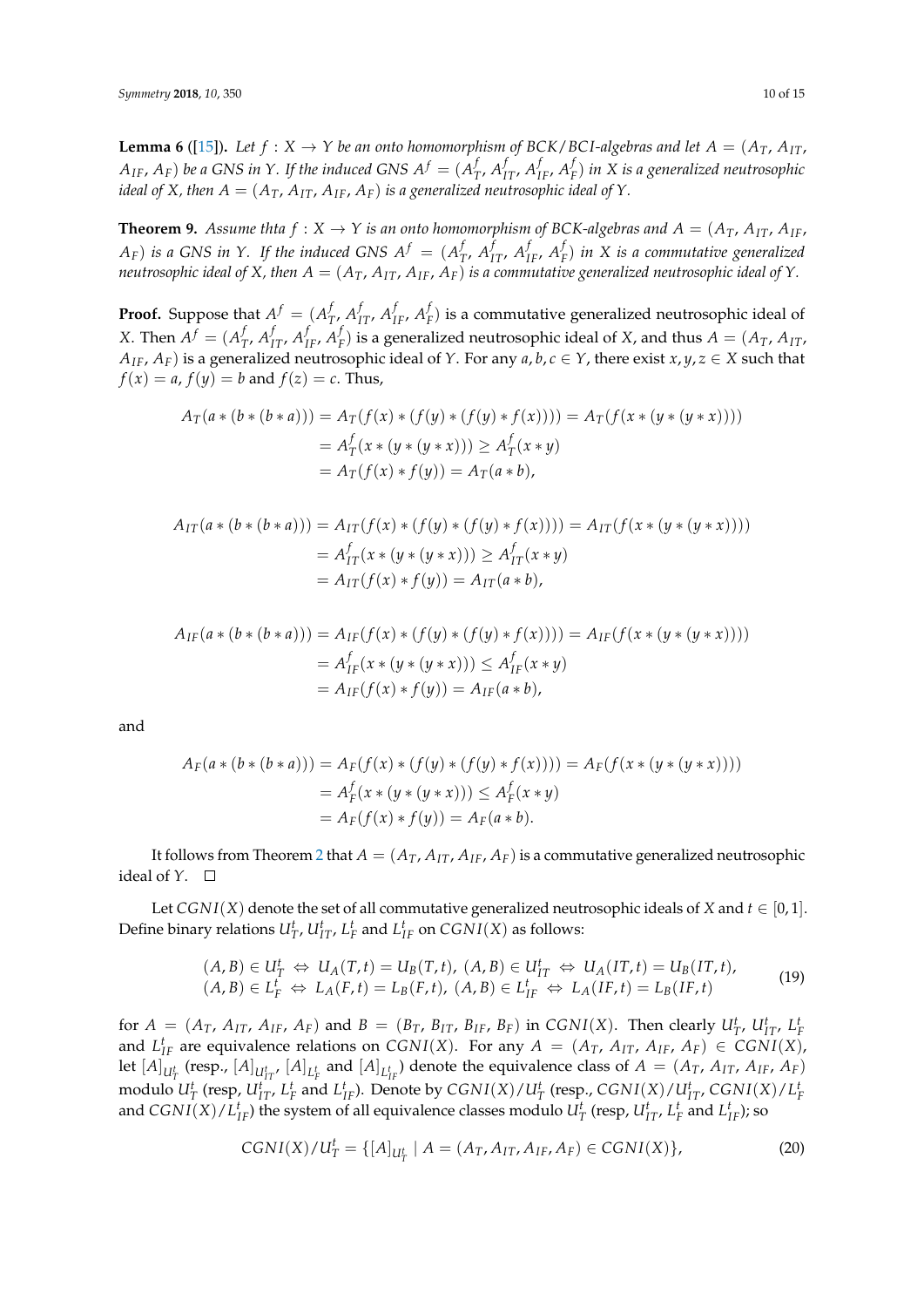**Lemma 6** ([\[15\]](#page-13-8)). Let  $f : X \to Y$  be an onto homomorphism of BCK/BCI-algebras and let  $A = (A_T, A_{IT})$  $A_{IF}$ ,  $A_{F}$ ) be a GNS in Y. If the induced GNS  $A^{f} = (A^{f}_{T})^{f}$  $f_{T}$ ,  $A_{IT}^f$ ,  $A_{IF}^f$ ,  $A_I^f$ *F* ) *in X is a generalized neutrosophic ideal of X, then*  $A = (A_T, A_{IT}, A_{IF}, A_F)$  *is a generalized neutrosophic ideal of Y*.

**Theorem 9.** Assume thta  $f : X \to Y$  is an onto homomorphism of BCK-algebras and  $A = (A_T, A_{IT}, A_{IF}, A_{IF})$  $(A_F)$  *is a GNS in Y. If the induced GNS*  $A^f = (A_I^f)$  $f_{T}$ *, A*<sup> $f$ </sup> $I$ <sub>*IF</sub>, A*<sup> $f$ </sup> $I$ </sub> *F* ) *in X is a commutative generalized neutrosophic ideal of X, then*  $A = (A_T, A_{IT}, A_{IF}, A_F)$  *is a commutative generalized neutrosophic ideal of Y.* 

**Proof.** Suppose that  $A^f = (A^f)$  $f_{T}$ ,  $A_{IT}^f$ ,  $A_{IF}^f$ ,  $A_{I}^f$  $F_F^f$ ) is a commutative generalized neutrosophic ideal of *X*. Then  $A^f = (A^f_7)$  $f_{T}$ ,  $A_{IT}^f$ ,  $A_{IF}^f$ ,  $A_{I}^f$  $F$ ) is a generalized neutrosophic ideal of *X*, and thus  $A = (A_T, A_{IT})$ *A*<sub>IF</sub>, *A*<sub>*F*</sub>) is a generalized neutrosophic ideal of *Y*. For any *a*, *b*, *c* ∈ *Y*, there exist *x*, *y*, *z* ∈ *X* such that  $f(x) = a$ ,  $f(y) = b$  and  $f(z) = c$ . Thus,

$$
A_T(a * (b * (b * a))) = A_T(f(x) * (f(y) * (f(y) * f(x)))) = A_T(f(x * (y * (y * x))))
$$
  
=  $A_T^f(x * (y * (y * x))) \ge A_T^f(x * y)$   
=  $A_T(f(x) * f(y)) = A_T(a * b)$ ,

$$
A_{IT}(a * (b * (b * a))) = A_{IT}(f(x) * (f(y) * (f(y) * f(x)))) = A_{IT}(f(x * (y * (y * x))))
$$
  
=  $A_{IT}^f(x * (y * (y * x))) \ge A_{IT}^f(x * y)$   
=  $A_{IT}(f(x) * f(y)) = A_{IT}(a * b)$ ,

$$
A_{IF}(a * (b * (b * a))) = A_{IF}(f(x) * (f(y) * (f(y) * f(x)))) = A_{IF}(f(x * (y * (y * x))))
$$
  
=  $A_{IF}^{f}(x * (y * (y * x))) \le A_{IF}^{f}(x * y)$   
=  $A_{IF}(f(x) * f(y)) = A_{IF}(a * b),$ 

and

$$
A_F(a * (b * (b * a))) = A_F(f(x) * (f(y) * (f(y) * f(x)))) = A_F(f(x * (y * (y * x))))
$$
  
=  $A_F^f(x * (y * (y * x))) \le A_F^f(x * y)$   
=  $A_F(f(x) * f(y)) = A_F(a * b)$ .

It follows from Theorem [2](#page-4-3) that  $A = (A_T, A_{IT}, A_{IF}, A_F)$  is a commutative generalized neutrosophic ideal of  $Y$ .  $\square$ 

Let *CGNI*(*X*) denote the set of all commutative generalized neutrosophic ideals of *X* and  $t \in [0,1]$ . Define binary relations  $U_T^t$ ,  $U_{IT}^t$ ,  $L_F^t$  and  $L_{IF}^t$  on  $CGNI(X)$  as follows:

$$
(A, B) \in U_T^t \Leftrightarrow U_A(T, t) = U_B(T, t), (A, B) \in U_{IT}^t \Leftrightarrow U_A(T, t) = U_B(T, t),
$$
  

$$
(A, B) \in L_F^t \Leftrightarrow L_A(F, t) = L_B(F, t), (A, B) \in L_{IF}^t \Leftrightarrow L_A(IF, t) = L_B(IF, t)
$$
 (19)

for  $A = (A_T, A_{IT}, A_{IF}, A_F)$  and  $B = (B_T, B_{IT}, B_{IF}, B_F)$  in  $CGNI(X)$ . Then clearly  $U_T^t$ ,  $U_{IT}^t$ ,  $L_F^t$ and  $L_{IF}^t$  are equivalence relations on *CGNI(X)*. For any  $A = (A_T, A_{IT}, A_{IF}, A_F) \in \text{CGNI}(X)$ , let  $[A]_{U_T^t}$  (resp.,  $[A]_{U_{IT}^t}$ ,  $[A]_{L_F^t}$  and  $[A]_{L_{IF}^t}$ ) denote the equivalence class of  $A = (A_T, A_{IT}, A_{IF}, A_F)$ modulo  $U_T^t$  (resp,  $U_{IT}^t$ ,  $L_T^t$  and  $L_{IF}^t$ ). Denote by  $CGNI(X)/U_T^t$  (resp.,  $CGNI(X)/U_{IT}^t$ ,  $CGNI(X)/L_F^t$ and  $CGNI(X)/L_{IF}^t$ ) the system of all equivalence classes modulo  $U_T^t$  (resp,  $U_{IT}^t$ ,  $L_F^t$  and  $L_{IF}^t$ ); so

$$
CGNI(X)/U_T^t = \{ [A]_{U_T^t} \mid A = (A_T, A_{IT}, A_{IF}, A_F) \in CGNI(X) \},
$$
\n(20)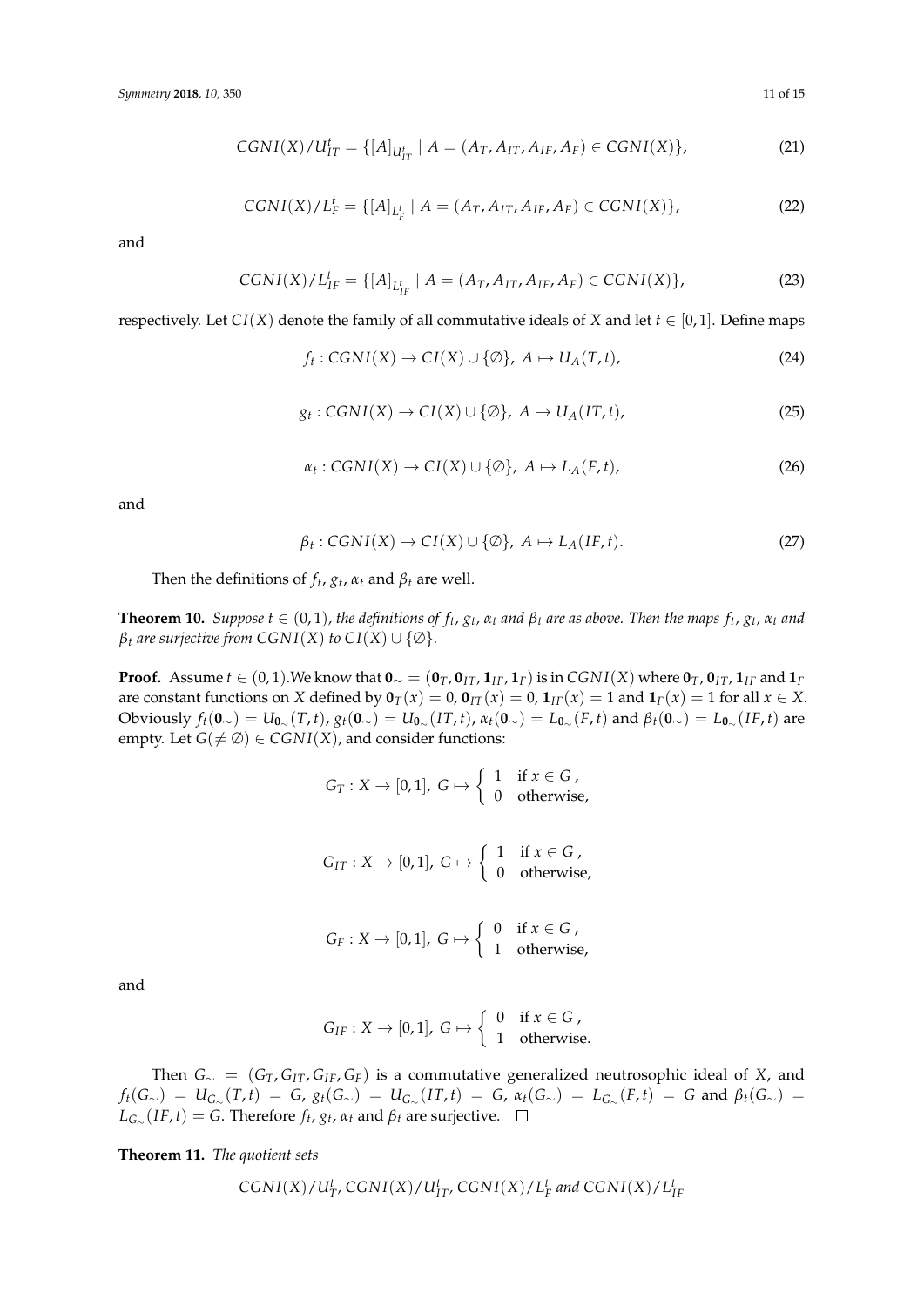$$
CGNI(X)/U_{IT}^t = \{ [A]_{U_{IT}^t} | A = (A_T, A_{IT}, A_{IF}, A_F) \in CGNI(X) \},
$$
\n(21)

$$
CGNI(X)/L_F^t = \{ [A]_{L_F^t} \mid A = (A_T, A_{IT}, A_{IF}, A_F) \in CGNI(X) \},
$$
\n(22)

and

$$
CGNI(X)/L_{IF}^{t} = \{ [A]_{L_{IF}^{t}} | A = (A_{T}, A_{IT}, A_{IF}, A_{F}) \in CGNI(X) \},
$$
\n(23)

respectively. Let *CI*(*X*) denote the family of all commutative ideals of *X* and let  $t \in [0,1]$ . Define maps

$$
f_t: CGNI(X) \to CI(X) \cup \{ \emptyset \}, \ A \mapsto U_A(T, t), \tag{24}
$$

$$
g_t: CGNI(X) \to CI(X) \cup \{ \emptyset \}, \ A \mapsto U_A(IT,t), \tag{25}
$$

$$
\alpha_t: CGNI(X) \to CI(X) \cup \{ \emptyset \}, \ A \mapsto L_A(F,t), \tag{26}
$$

and

$$
\beta_t: CGNI(X) \to CI(X) \cup \{\emptyset\}, \ A \mapsto L_A(IF,t). \tag{27}
$$

Then the definitions of  $f_t$ ,  $g_t$ ,  $\alpha_t$  and  $\beta_t$  are well.

**Theorem 10.** Suppose  $t \in (0,1)$ , the definitions of  $f_t$ ,  $g_t$ ,  $\alpha_t$  and  $\beta_t$  are as above. Then the maps  $f_t$ ,  $g_t$ ,  $\alpha_t$  and *β*<sup>*t*</sup> *are surjective from CGNI(X) to CI(X)*  $\cup$  {∅}*.* 

**Proof.** Assume  $t \in (0,1)$ . We know that  $\mathbf{0}_{\sim} = (\mathbf{0}_T, \mathbf{0}_{TT}, \mathbf{1}_{IF}, \mathbf{1}_F)$  is in  $CGNI(X)$  where  $\mathbf{0}_T, \mathbf{0}_{IT}, \mathbf{1}_{IF}$  and  $\mathbf{1}_F$ are constant functions on *X* defined by  $\mathbf{0}_T(x) = 0$ ,  $\mathbf{0}_{IT}(x) = 0$ ,  $\mathbf{1}_{IF}(x) = 1$  and  $\mathbf{1}_F(x) = 1$  for all  $x \in X$ . Obviously  $f_t(\mathbf{0}_{\sim}) = U_{\mathbf{0}_{\sim}}(T,t)$ ,  $g_t(\mathbf{0}_{\sim}) = U_{\mathbf{0}_{\sim}}(IT,t)$ ,  $\alpha_t(\mathbf{0}_{\sim}) = L_{\mathbf{0}_{\sim}}(F,t)$  and  $\beta_t(\mathbf{0}_{\sim}) = L_{\mathbf{0}_{\sim}}(IF,t)$  are empty. Let  $G(\neq \emptyset) \in CGNI(X)$ , and consider functions:

> $G_T: X \to [0,1], G \mapsto \begin{cases} 1 & \text{if } x \in G, \\ 0 & \text{otherwise} \end{cases}$ 0 otherwise,

 $G_{IT}: X \to [0,1], G \mapsto \left\{ \begin{array}{ll} 1 & \text{if } x \in G, \\ 0 & \text{otherwise} \end{array} \right.$ 0 otherwise,

| $G_F: X \to [0,1], G \mapsto \begin{cases} 0 & \text{if } x \in G, \\ 1 & \text{otherwise,} \end{cases}$ |  |
|----------------------------------------------------------------------------------------------------------|--|

and

$$
G_{IF}: X \to [0,1], G \mapsto \left\{ \begin{array}{ll} 0 & \text{if } x \in G, \\ 1 & \text{otherwise.} \end{array} \right.
$$

Then *G*<sup>∼</sup> = (*GT*, *GIT*, *GIF*, *GF*) is a commutative generalized neutrosophic ideal of *X*, and  $f_t(G_{\sim}) = U_{G_{\sim}}(T,t) = G$ ,  $g_t(G_{\sim}) = U_{G_{\sim}}(IT,t) = G$ ,  $\alpha_t(G_{\sim}) = L_{G_{\sim}}(F,t) = G$  and  $\beta_t(G_{\sim}) = G$  $L_{G_{\infty}}(IF, t) = G$ . Therefore  $f_t$ ,  $g_t$ ,  $\alpha_t$  and  $\beta_t$  are surjective.

**Theorem 11.** *The quotient sets*

$$
CGNI(X)/U_{T'}^t, CGNI(X)/U_{IT'}^t, CGNI(X)/L_F^t \text{ and } CGNI(X)/L_{IF}^t
$$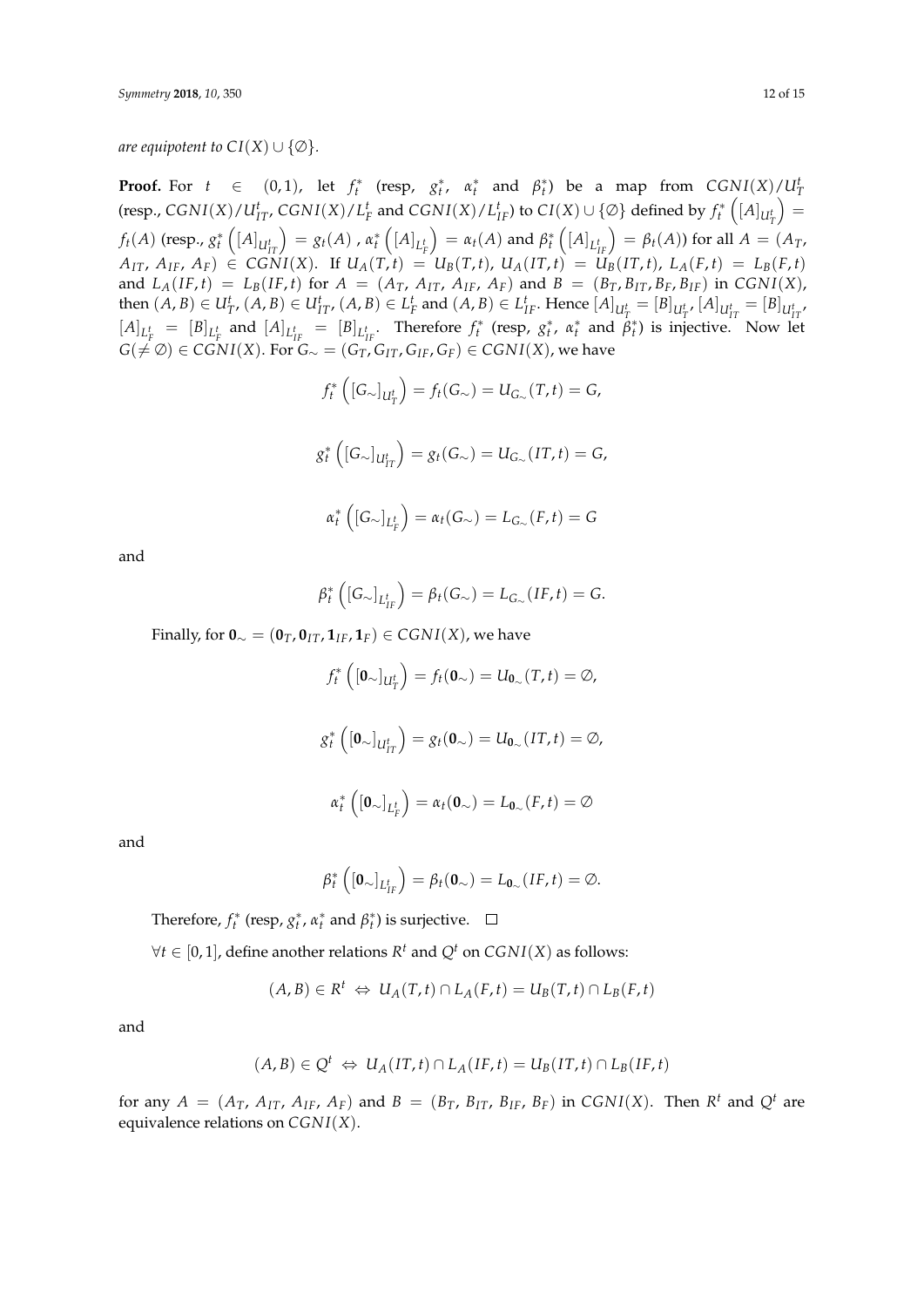*are equipotent to*  $CI(X) \cup \{\emptyset\}$ *.* 

**Proof.** For  $t \in (0, 1)$ , let  $f_t^*$  (resp,  $g_t^*$ ,  $\alpha_t^*$  and  $\beta_t^*$ ) be a map from  $CGNI(X)/U_T^t$ (resp.,  $CGNI(X)/U_{IT}^t$ ,  $CGNI(X)/L_F^t$  and  $CGNI(X)/L_{IF}^t$ ) to  $CI(X) \cup \{\emptyset\}$  defined by  $f_t^*\left([A]_{U_T^t}\right) =$ *T*  $f_t(A)$  (resp.,  $g_t^\ast\left([A]_{U_{IT}^t}\right)=g_t(A)$  ,  $\alpha_t^\ast\left([A]_{L_F^t}\right)$  $\left(\int A \right)$  and  $\beta_t^* \left( \left[A\right]_{L_{IF}^t} \right) = \beta_t(A)$ ) for all  $A = (A_T, A_T)$  $A_{IT}$ ,  $A_{IF}$ ,  $A_F$ )  $\in$  CGNI(X). If  $U_A(T,t) = U_B(T,t)$ ,  $U_A(IT,t) = U_B(IT,t)$ ,  $L_A(F,t) = L_B(F,t)$ and  $L_A(IF, t) = L_B(IF, t)$  for  $A = (A_T, A_{IT}, A_{IF}, A_F)$  and  $B = (B_T, B_{IT}, B_F, B_{IF})$  in  $CGNI(X)$ , then  $(A, B) \in U^t_{T'}$ ,  $(A, B) \in U^t_{IT'}$ ,  $(A, B) \in L^t_F$  and  $(A, B) \in L^t_{IF}$ . Hence  $[A]_{U^t_T} = [B]_{U^t_{IT'}}$   $[A]_{U^t_{IT}} = [B]_{U^t_{IT'}}$  $[A]_{L_f^t} = [B]_{L_f^t}$  and  $[A]_{L_{IF}^t} = [B]_{L_{IF}^t}$ . Therefore  $f_t^*$  (resp,  $g_t^*$ ,  $\alpha_t^*$  and  $\beta_t^*$ ) is injective. Now let  $G(≠ \emptyset) ∈ \mathcal{CGNI}(X)$ . For  $G_{\sim} = (G_T, G_{IT}, G_{IF}, G_F) ∈ \mathcal{CGNI}(X)$ , we have

$$
f_t^* \left( [G_\sim]_{U_T^t} \right) = f_t(G_\sim) = U_{G_\sim}(T, t) = G,
$$
  

$$
g_t^* \left( [G_\sim]_{U_{IT}^t} \right) = g_t(G_\sim) = U_{G_\sim}(IT, t) = G,
$$
  

$$
\alpha_t^* \left( [G_\sim]_{L_F^t} \right) = \alpha_t(G_\sim) = L_{G_\sim}(F, t) = G
$$

and

$$
\beta_t^*\left([G_\sim]_{L^t_{IF}}\right)=\beta_t(G_\sim)=L_{G_\sim}(IF,t)=G.
$$

Finally, for  $\mathbf{0}_{\sim} = (\mathbf{0}_T, \mathbf{0}_{IT}, \mathbf{1}_{IF}, \mathbf{1}_F) \in \text{CGNI}(X)$ , we have

$$
f_t^* \left( [\mathbf{0}_{\sim}]_{U_T^t} \right) = f_t(\mathbf{0}_{\sim}) = U_{\mathbf{0}_{\sim}}(T, t) = \emptyset,
$$
  

$$
g_t^* \left( [\mathbf{0}_{\sim}]_{U_{IT}^t} \right) = g_t(\mathbf{0}_{\sim}) = U_{\mathbf{0}_{\sim}}(IT, t) = \emptyset,
$$
  

$$
\alpha_t^* \left( [\mathbf{0}_{\sim}]_{L_F^t} \right) = \alpha_t(\mathbf{0}_{\sim}) = L_{\mathbf{0}_{\sim}}(F, t) = \emptyset
$$

and

$$
\beta_t^*\left(\left[\mathbf{0}_{\sim}\right]_{L^t_{IF}}\right)=\beta_t(\mathbf{0}_{\sim})=L_{\mathbf{0}_{\sim}}(IF,t)=\emptyset.
$$

Therefore,  $f_t^*$  (resp,  $g_t^*$ ,  $\alpha_t^*$  and  $\beta_t^*$ ) is surjective.

 $∀t ∈ [0, 1]$ , define another relations  $R<sup>t</sup>$  and  $Q<sup>t</sup>$  on  $CGNI(X)$  as follows:

$$
(A, B) \in R^t \Leftrightarrow U_A(T, t) \cap L_A(F, t) = U_B(T, t) \cap L_B(F, t)
$$

and

$$
(A, B) \in Q^t \Leftrightarrow U_A(IT, t) \cap L_A(IF, t) = U_B(IT, t) \cap L_B(IF, t)
$$

for any  $A = (A_T, A_{IT}, A_{IF}, A_F)$  and  $B = (B_T, B_{IT}, B_{IF}, B_F)$  in CGNI(X). Then  $R^t$  and  $Q^t$  are equivalence relations on *CGN I*(*X*).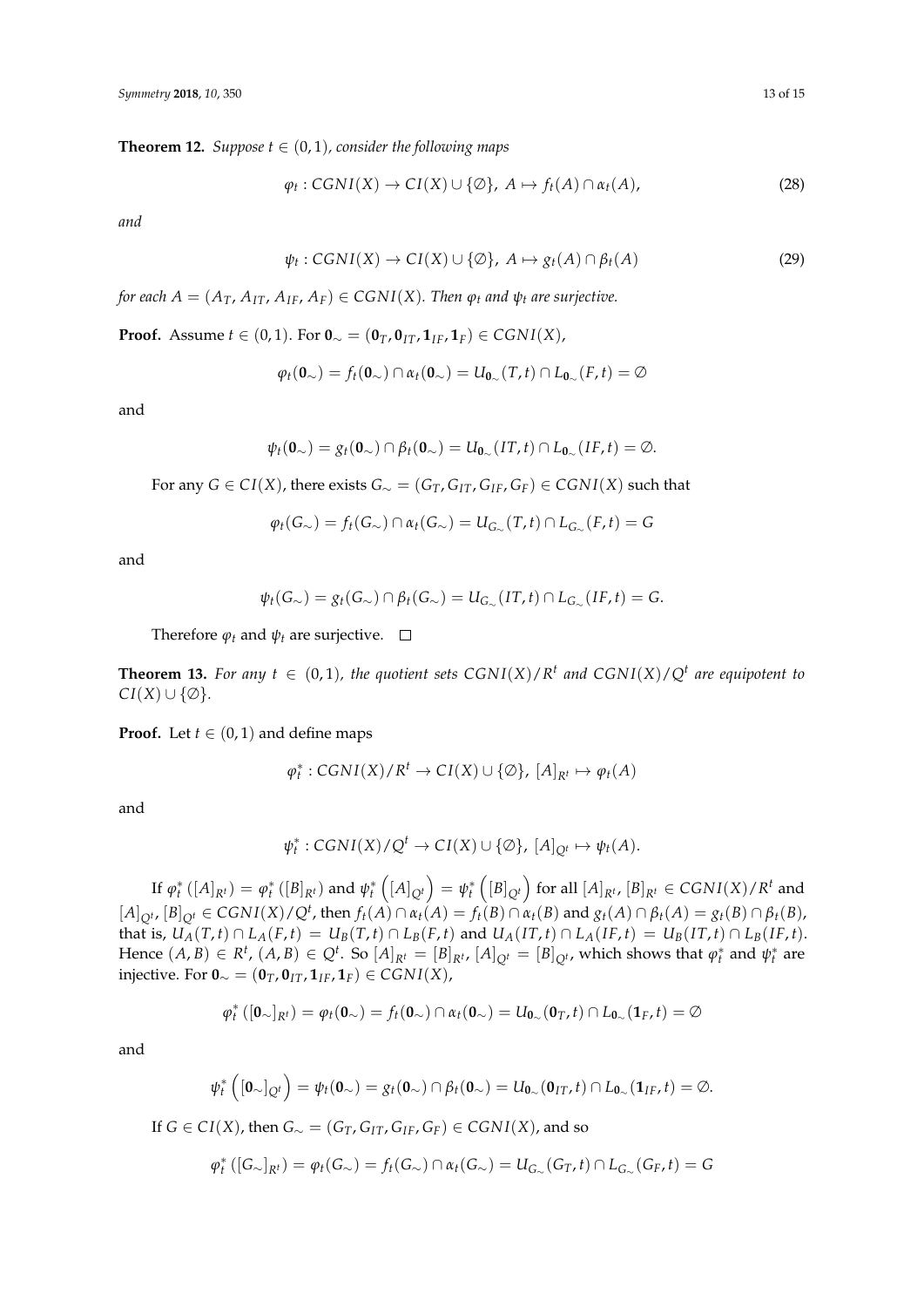**Theorem 12.** *Suppose*  $t \in (0, 1)$ *, consider the following maps* 

$$
\varphi_t: CGNI(X) \to CI(X) \cup \{\emptyset\}, \ A \mapsto f_t(A) \cap \alpha_t(A), \tag{28}
$$

*and*

$$
\psi_t: CGNI(X) \to CI(X) \cup \{ \emptyset \}, \ A \mapsto g_t(A) \cap \beta_t(A) \tag{29}
$$

*for each*  $A = (A_T, A_{IT}, A_{IF}, A_F) \in CGNI(X)$ *. Then*  $\varphi_t$  *and*  $\psi_t$  *are surjective.* 

**Proof.** Assume *t* ∈ (0, 1). For  $\mathbf{0}_{\sim} = (\mathbf{0}_T, \mathbf{0}_{IT}, \mathbf{1}_{IF}, \mathbf{1}_F) \in \text{CGN}(X)$ ,

$$
\varphi_t(\mathbf{0}_{\sim}) = f_t(\mathbf{0}_{\sim}) \cap \alpha_t(\mathbf{0}_{\sim}) = U_{\mathbf{0}_{\sim}}(T,t) \cap L_{\mathbf{0}_{\sim}}(F,t) = \varnothing
$$

and

$$
\psi_t(\mathbf{0}_{\sim}) = g_t(\mathbf{0}_{\sim}) \cap \beta_t(\mathbf{0}_{\sim}) = U_{\mathbf{0}_{\sim}}(IT, t) \cap L_{\mathbf{0}_{\sim}}(IF, t) = \emptyset.
$$

For any *G* ∈ *CI*(*X*), there exists  $G_∼ = (G_T, G_{IT}, G_{IF}, G_F)$  ∈ *CGNI*(*X*) such that

$$
\varphi_t(G_\sim) = f_t(G_\sim) \cap \alpha_t(G_\sim) = U_{G_\sim}(T,t) \cap L_{G_\sim}(F,t) = G
$$

and

$$
\psi_t(G_\sim)=g_t(G_\sim)\cap\beta_t(G_\sim)=U_{G_\sim}(IT,t)\cap L_{G_\sim}(IF,t)=G.
$$

Therefore  $\varphi_t$  and  $\psi_t$  are surjective.  $\Box$ 

**Theorem 13.** For any  $t \in (0,1)$ , the quotient sets  $CGNI(X)/R^t$  and  $CGNI(X)/Q^t$  are equipotent to  $CI(X) \cup \{\emptyset\}.$ 

**Proof.** Let  $t \in (0, 1)$  and define maps

$$
\varphi_t^*: CGNI(X)/R^t \to CI(X) \cup \{\emptyset\}, [A]_{R^t} \mapsto \varphi_t(A)
$$

and

$$
\psi_t^*: CGNI(X)/Q^t \to CI(X) \cup \{\emptyset\}, [A]_{Q^t} \mapsto \psi_t(A).
$$

If  $\varphi_t^*\left([A]_{R^t}\right)=\varphi_t^*\left([B]_{R^t}\right)$  and  $\psi_t^*\left([A]_{Q^t}\right)=\psi_t^*\left([B]_{Q^t}\right)$  for all  $[A]_{R^t}$ ,  $[B]_{R^t}\in{CSNI(X)/R^t}$  and  $[A]_{Q^t}$ ,  $[B]_{Q^t} \in CGNI(X)/Q^t$ , then  $f_t(A) \cap \alpha_t(A) = f_t(B) \cap \alpha_t(B)$  and  $g_t(A) \cap \beta_t(A) = g_t(B) \cap \beta_t(B)$ , that is,  $U_A(T,t) \cap L_A(F,t) = U_B(T,t) \cap L_B(F,t)$  and  $U_A(T,t) \cap L_A(F,t) = U_B(T,t) \cap L_B(F,t)$ . Hence  $(A, B) \in R^t$ ,  $(A, B) \in Q^t$ . So  $[A]_{R^t} = [B]_{R^t}$ ,  $[A]_{Q^t} = [B]_{Q^t}$ , which shows that  $\varphi_t^*$  and  $\psi_t^*$  are injective. For **0**<sup>∼</sup> = (**0***T*, **0***IT*, **1***IF*, **1***F*) ∈ *CGN I*(*X*),

$$
\varphi_t^*\left(\left[\mathbf{0}_{\sim}\right]_{R^t}\right)=\varphi_t(\mathbf{0}_{\sim})=f_t(\mathbf{0}_{\sim})\cap\alpha_t(\mathbf{0}_{\sim})=U_{\mathbf{0}_{\sim}}(\mathbf{0}_T,t)\cap L_{\mathbf{0}_{\sim}}(\mathbf{1}_F,t)=\emptyset
$$

and

$$
\psi_t^*\left([\mathbf{0}_{\sim}]_{Q^t}\right)=\psi_t(\mathbf{0}_{\sim})=g_t(\mathbf{0}_{\sim})\cap\beta_t(\mathbf{0}_{\sim})=U_{\mathbf{0}_{\sim}}(\mathbf{0}_{IT},t)\cap L_{\mathbf{0}_{\sim}}(\mathbf{1}_{IF},t)=\emptyset.
$$

If *G* ∈ *CI*(*X*), then *G*∼ = (*G*<sub>*T*</sub>, *G*<sub>*IT*</sub>, *G*<sub>*IF*</sub>, *G*<sub>*F*</sub>) ∈ *CGNI*(*X*), and so

$$
\varphi_t^*\left([G_\sim]_{R^t}\right)=\varphi_t(G_\sim)=f_t(G_\sim)\cap\alpha_t(G_\sim)=U_{G_\sim}(G_T,t)\cap L_{G_\sim}(G_F,t)=G
$$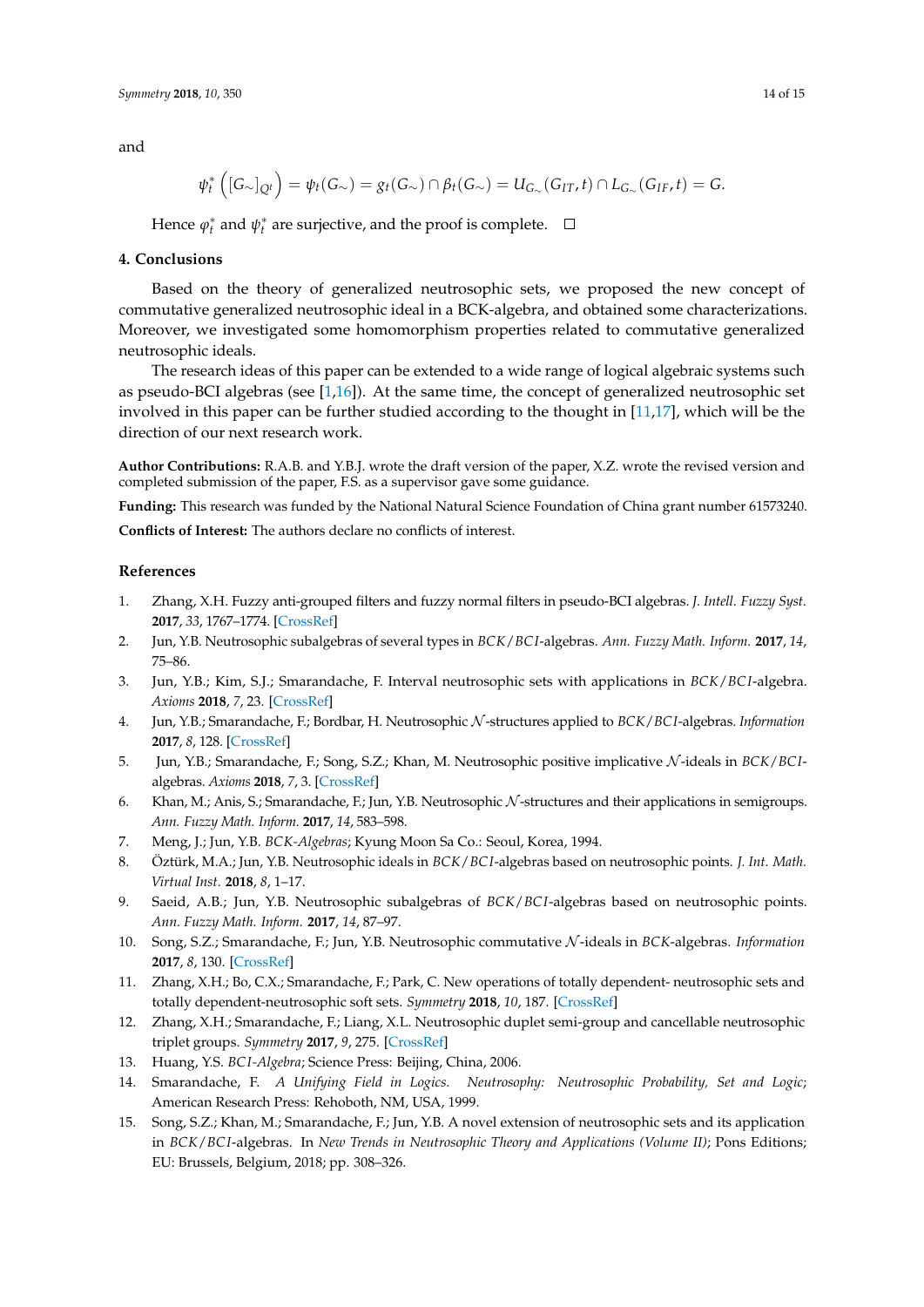and

$$
\psi_t^* \left( [G_{\sim}]_{Q^t} \right) = \psi_t(G_{\sim}) = g_t(G_{\sim}) \cap \beta_t(G_{\sim}) = U_{G_{\sim}}(G_{IT}, t) \cap L_{G_{\sim}}(G_{IF}, t) = G.
$$

Hence  $\varphi_t^*$  and  $\psi_t^*$  are surjective, and the proof is complete.

#### **4. Conclusions**

Based on the theory of generalized neutrosophic sets, we proposed the new concept of commutative generalized neutrosophic ideal in a BCK-algebra, and obtained some characterizations. Moreover, we investigated some homomorphism properties related to commutative generalized neutrosophic ideals.

The research ideas of this paper can be extended to a wide range of logical algebraic systems such as pseudo-BCI algebras (see  $[1,16]$  $[1,16]$ ). At the same time, the concept of generalized neutrosophic set involved in this paper can be further studied according to the thought in [\[11](#page-13-3)[,17\]](#page-14-1), which will be the direction of our next research work.

**Author Contributions:** R.A.B. and Y.B.J. wrote the draft version of the paper, X.Z. wrote the revised version and completed submission of the paper, F.S. as a supervisor gave some guidance.

**Funding:** This research was funded by the National Natural Science Foundation of China grant number 61573240.

**Conflicts of Interest:** The authors declare no conflicts of interest.

#### **References**

- <span id="page-13-0"></span>1. Zhang, X.H. Fuzzy anti-grouped filters and fuzzy normal filters in pseudo-BCI algebras. *J. Intell. Fuzzy Syst.* **2017**, *33*, 1767–1774. [\[CrossRef\]](http://dx.doi.org/10.3233/JIFS-17006)
- <span id="page-13-1"></span>2. Jun, Y.B. Neutrosophic subalgebras of several types in *BCK*/*BC I*-algebras. *Ann. Fuzzy Math. Inform.* **2017**, *14*, 75–86.
- 3. Jun, Y.B.; Kim, S.J.; Smarandache, F. Interval neutrosophic sets with applications in *BCK*/*BC I*-algebra. *Axioms* **2018**, *7*, 23. [\[CrossRef\]](http://dx.doi.org/10.3390/axioms7020023)
- 4. Jun, Y.B.; Smarandache, F.; Bordbar, H. Neutrosophic N -structures applied to *BCK*/*BCI*-algebras. *Information* **2017**, *8*, 128. [\[CrossRef\]](http://dx.doi.org/10.3390/info8040128)
- 5. Jun, Y.B.; Smarandache, F.; Song, S.Z.; Khan, M. Neutrosophic positive implicative N -ideals in *BCK*/*BCI*algebras. *Axioms* **2018**, *7*, 3. [\[CrossRef\]](http://dx.doi.org/10.3390/axioms7010003)
- 6. Khan, M.; Anis, S.; Smarandache, F.; Jun, Y.B. Neutrosophic  $N$ -structures and their applications in semigroups. *Ann. Fuzzy Math. Inform.* **2017**, *14*, 583–598.
- <span id="page-13-5"></span>7. Meng, J.; Jun, Y.B. *BCK-Algebras*; Kyung Moon Sa Co.: Seoul, Korea, 1994.
- 8. Öztürk, M.A.; Jun, Y.B. Neutrosophic ideals in *BCK*/*BC I*-algebras based on neutrosophic points. *J. Int. Math. Virtual Inst.* **2018**, *8*, 1–17.
- 9. Saeid, A.B.; Jun, Y.B. Neutrosophic subalgebras of *BCK*/*BC I*-algebras based on neutrosophic points. *Ann. Fuzzy Math. Inform.* **2017**, *14*, 87–97.
- <span id="page-13-2"></span>10. Song, S.Z.; Smarandache, F.; Jun, Y.B. Neutrosophic commutative N -ideals in *BCK*-algebras. *Information* **2017**, *8*, 130. [\[CrossRef\]](http://dx.doi.org/10.3390/info8040130)
- <span id="page-13-3"></span>11. Zhang, X.H.; Bo, C.X.; Smarandache, F.; Park, C. New operations of totally dependent- neutrosophic sets and totally dependent-neutrosophic soft sets. *Symmetry* **2018**, *10*, 187. [\[CrossRef\]](http://dx.doi.org/10.3390/sym10060187)
- <span id="page-13-4"></span>12. Zhang, X.H.; Smarandache, F.; Liang, X.L. Neutrosophic duplet semi-group and cancellable neutrosophic triplet groups. *Symmetry* **2017**, *9*, 275. [\[CrossRef\]](http://dx.doi.org/10.3390/sym9110275)
- <span id="page-13-7"></span><span id="page-13-6"></span>13. Huang, Y.S. *BC I-Algebra*; Science Press: Beijing, China, 2006.
- 14. Smarandache, F. *A Unifying Field in Logics. Neutrosophy: Neutrosophic Probability, Set and Logic*; American Research Press: Rehoboth, NM, USA, 1999.
- <span id="page-13-8"></span>15. Song, S.Z.; Khan, M.; Smarandache, F.; Jun, Y.B. A novel extension of neutrosophic sets and its application in *BCK*/*BC I*-algebras. In *New Trends in Neutrosophic Theory and Applications (Volume II)*; Pons Editions; EU: Brussels, Belgium, 2018; pp. 308–326.